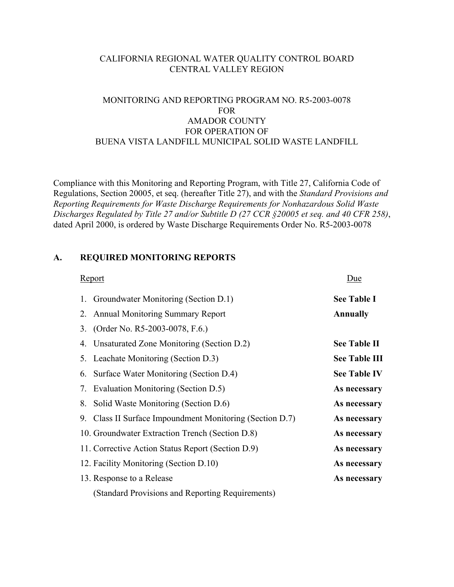## CALIFORNIA REGIONAL WATER QUALITY CONTROL BOARD CENTRAL VALLEY REGION

# MONITORING AND REPORTING PROGRAM NO. R5-2003-0078 FOR AMADOR COUNTY FOR OPERATION OF BUENA VISTA LANDFILL MUNICIPAL SOLID WASTE LANDFILL

Compliance with this Monitoring and Reporting Program, with Title 27, California Code of Regulations, Section 20005, et seq. (hereafter Title 27), and with the *Standard Provisions and Reporting Requirements for Waste Discharge Requirements for Nonhazardous Solid Waste Discharges Regulated by Title 27 and/or Subtitle D (27 CCR §20005 et seq. and 40 CFR 258)*, dated April 2000, is ordered by Waste Discharge Requirements Order No. R5-2003-0078

## **A. REQUIRED MONITORING REPORTS**

| <b>Report</b>                                            | Due                  |
|----------------------------------------------------------|----------------------|
| Groundwater Monitoring (Section D.1)<br>1.               | <b>See Table I</b>   |
| <b>Annual Monitoring Summary Report</b><br>2.            | <b>Annually</b>      |
| (Order No. R5-2003-0078, F.6.)<br>3.                     |                      |
| Unsaturated Zone Monitoring (Section D.2)<br>4.          | <b>See Table II</b>  |
| 5. Leachate Monitoring (Section D.3)                     | <b>See Table III</b> |
| Surface Water Monitoring (Section D.4)<br>6.             | <b>See Table IV</b>  |
| Evaluation Monitoring (Section D.5)<br>7.                | As necessary         |
| Solid Waste Monitoring (Section D.6)<br>8.               | As necessary         |
| 9. Class II Surface Impoundment Monitoring (Section D.7) | As necessary         |
| 10. Groundwater Extraction Trench (Section D.8)          | As necessary         |
| 11. Corrective Action Status Report (Section D.9)        | As necessary         |
| 12. Facility Monitoring (Section D.10)                   | As necessary         |
| 13. Response to a Release                                | As necessary         |
| (Standard Provisions and Reporting Requirements)         |                      |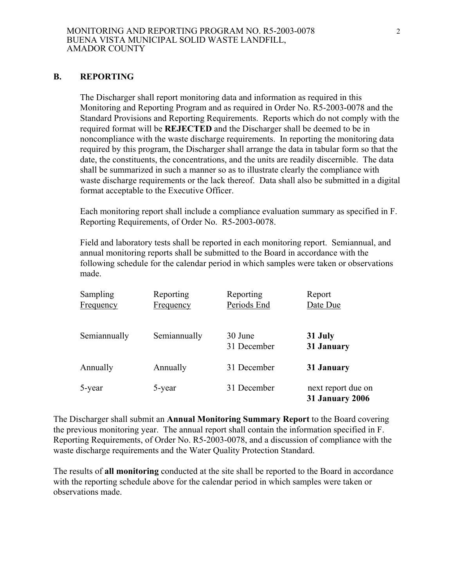#### **B. REPORTING**

 The Discharger shall report monitoring data and information as required in this Monitoring and Reporting Program and as required in Order No. R5-2003-0078 and the Standard Provisions and Reporting Requirements. Reports which do not comply with the required format will be **REJECTED** and the Discharger shall be deemed to be in noncompliance with the waste discharge requirements. In reporting the monitoring data required by this program, the Discharger shall arrange the data in tabular form so that the date, the constituents, the concentrations, and the units are readily discernible. The data shall be summarized in such a manner so as to illustrate clearly the compliance with waste discharge requirements or the lack thereof. Data shall also be submitted in a digital format acceptable to the Executive Officer.

 Each monitoring report shall include a compliance evaluation summary as specified in F. Reporting Requirements, of Order No. R5-2003-0078.

 Field and laboratory tests shall be reported in each monitoring report. Semiannual, and annual monitoring reports shall be submitted to the Board in accordance with the following schedule for the calendar period in which samples were taken or observations made.

| Sampling<br>Frequency | Reporting<br>Frequency | Reporting<br>Periods End | Report<br>Date Due                           |
|-----------------------|------------------------|--------------------------|----------------------------------------------|
| Semiannually          | Semiannually           | 30 June<br>31 December   | 31 July<br>31 January                        |
| Annually              | Annually               | 31 December              | 31 January                                   |
| 5-year                | 5-year                 | 31 December              | next report due on<br><b>31 January 2006</b> |

The Discharger shall submit an **Annual Monitoring Summary Report** to the Board covering the previous monitoring year. The annual report shall contain the information specified in F. Reporting Requirements, of Order No. R5-2003-0078, and a discussion of compliance with the waste discharge requirements and the Water Quality Protection Standard.

The results of **all monitoring** conducted at the site shall be reported to the Board in accordance with the reporting schedule above for the calendar period in which samples were taken or observations made.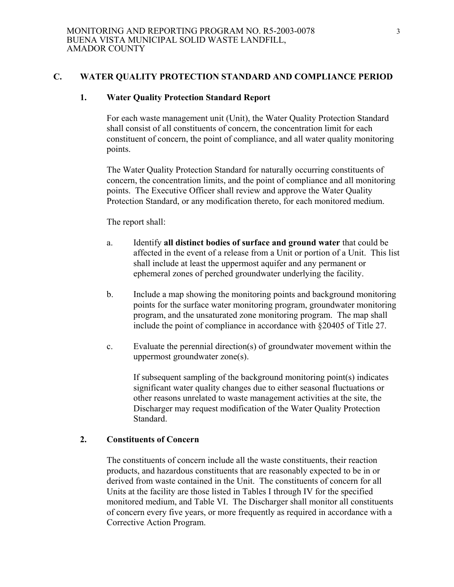#### **C. WATER QUALITY PROTECTION STANDARD AND COMPLIANCE PERIOD**

### **1. Water Quality Protection Standard Report**

 For each waste management unit (Unit), the Water Quality Protection Standard shall consist of all constituents of concern, the concentration limit for each constituent of concern, the point of compliance, and all water quality monitoring points.

 The Water Quality Protection Standard for naturally occurring constituents of concern, the concentration limits, and the point of compliance and all monitoring points. The Executive Officer shall review and approve the Water Quality Protection Standard, or any modification thereto, for each monitored medium.

#### The report shall:

- a. Identify **all distinct bodies of surface and ground water** that could be affected in the event of a release from a Unit or portion of a Unit. This list shall include at least the uppermost aquifer and any permanent or ephemeral zones of perched groundwater underlying the facility.
- b. Include a map showing the monitoring points and background monitoring points for the surface water monitoring program, groundwater monitoring program, and the unsaturated zone monitoring program. The map shall include the point of compliance in accordance with §20405 of Title 27.
- c. Evaluate the perennial direction(s) of groundwater movement within the uppermost groundwater zone(s).

If subsequent sampling of the background monitoring point(s) indicates significant water quality changes due to either seasonal fluctuations or other reasons unrelated to waste management activities at the site, the Discharger may request modification of the Water Quality Protection Standard.

### **2. Constituents of Concern**

 The constituents of concern include all the waste constituents, their reaction products, and hazardous constituents that are reasonably expected to be in or derived from waste contained in the Unit. The constituents of concern for all Units at the facility are those listed in Tables I through IV for the specified monitored medium, and Table VI. The Discharger shall monitor all constituents of concern every five years, or more frequently as required in accordance with a Corrective Action Program.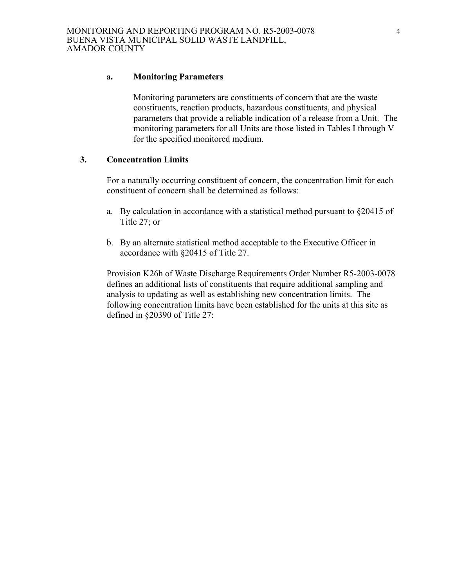#### a**. Monitoring Parameters**

 Monitoring parameters are constituents of concern that are the waste constituents, reaction products, hazardous constituents, and physical parameters that provide a reliable indication of a release from a Unit. The monitoring parameters for all Units are those listed in Tables I through V for the specified monitored medium.

## **3. Concentration Limits**

 For a naturally occurring constituent of concern, the concentration limit for each constituent of concern shall be determined as follows:

- a. By calculation in accordance with a statistical method pursuant to §20415 of Title 27; or
- b. By an alternate statistical method acceptable to the Executive Officer in accordance with §20415 of Title 27.

Provision K26h of Waste Discharge Requirements Order Number R5-2003-0078 defines an additional lists of constituents that require additional sampling and analysis to updating as well as establishing new concentration limits. The following concentration limits have been established for the units at this site as defined in §20390 of Title 27: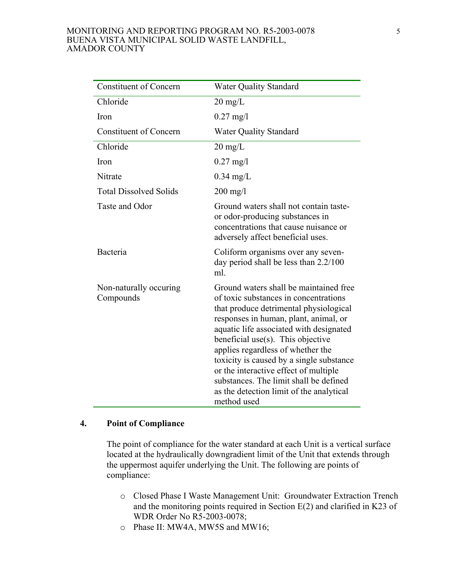#### MONITORING AND REPORTING PROGRAM NO. R5-2003-0078 BUENA VISTA MUNICIPAL SOLID WASTE LANDFILL, AMADOR COUNTY

| <b>Constituent of Concern</b>       | <b>Water Quality Standard</b>                                                                                                                                                                                                                                                                                                                                                                                                                                                     |
|-------------------------------------|-----------------------------------------------------------------------------------------------------------------------------------------------------------------------------------------------------------------------------------------------------------------------------------------------------------------------------------------------------------------------------------------------------------------------------------------------------------------------------------|
| Chloride                            | $20 \text{ mg/L}$                                                                                                                                                                                                                                                                                                                                                                                                                                                                 |
| Iron                                | $0.27 \text{ mg}/1$                                                                                                                                                                                                                                                                                                                                                                                                                                                               |
| <b>Constituent of Concern</b>       | <b>Water Quality Standard</b>                                                                                                                                                                                                                                                                                                                                                                                                                                                     |
| Chloride                            | $20 \text{ mg/L}$                                                                                                                                                                                                                                                                                                                                                                                                                                                                 |
| <b>Iron</b>                         | $0.27 \text{ mg}$ /l                                                                                                                                                                                                                                                                                                                                                                                                                                                              |
| Nitrate                             | $0.34$ mg/L                                                                                                                                                                                                                                                                                                                                                                                                                                                                       |
| <b>Total Dissolved Solids</b>       | $200 \text{ mg/l}$                                                                                                                                                                                                                                                                                                                                                                                                                                                                |
| Taste and Odor                      | Ground waters shall not contain taste-<br>or odor-producing substances in<br>concentrations that cause nuisance or<br>adversely affect beneficial uses.                                                                                                                                                                                                                                                                                                                           |
| Bacteria                            | Coliform organisms over any seven-<br>day period shall be less than $2.2/100$<br>ml.                                                                                                                                                                                                                                                                                                                                                                                              |
| Non-naturally occuring<br>Compounds | Ground waters shall be maintained free<br>of toxic substances in concentrations<br>that produce detrimental physiological<br>responses in human, plant, animal, or<br>aquatic life associated with designated<br>beneficial use(s). This objective<br>applies regardless of whether the<br>toxicity is caused by a single substance<br>or the interactive effect of multiple<br>substances. The limit shall be defined<br>as the detection limit of the analytical<br>method used |

### **4. Point of Compliance**

 The point of compliance for the water standard at each Unit is a vertical surface located at the hydraulically downgradient limit of the Unit that extends through the uppermost aquifer underlying the Unit. The following are points of compliance:

- o Closed Phase I Waste Management Unit: Groundwater Extraction Trench and the monitoring points required in Section E(2) and clarified in K23 of WDR Order No R5-2003-0078;
- o Phase II: MW4A, MW5S and MW16;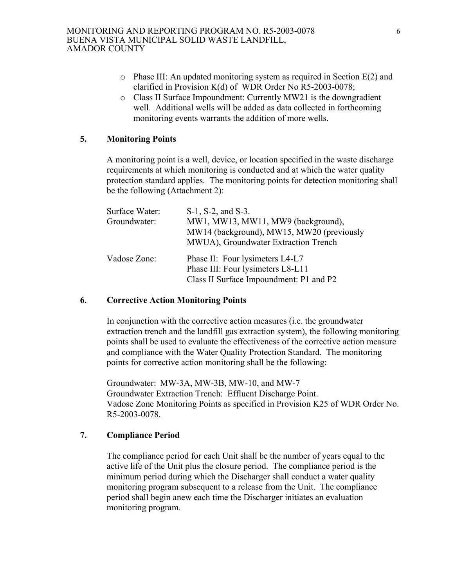- o Phase III: An updated monitoring system as required in Section E(2) and clarified in Provision K(d) of WDR Order No R5-2003-0078;
- o Class II Surface Impoundment: Currently MW21 is the downgradient well. Additional wells will be added as data collected in forthcoming monitoring events warrants the addition of more wells.

## **5. Monitoring Points**

A monitoring point is a well, device, or location specified in the waste discharge requirements at which monitoring is conducted and at which the water quality protection standard applies. The monitoring points for detection monitoring shall be the following (Attachment 2):

| Surface Water:<br>Groundwater: | S-1, S-2, and S-3.<br>MW1, MW13, MW11, MW9 (background),<br>MW14 (background), MW15, MW20 (previously<br>MWUA), Groundwater Extraction Trench |
|--------------------------------|-----------------------------------------------------------------------------------------------------------------------------------------------|
| Vadose Zone:                   | Phase II: Four lysimeters L4-L7<br>Phase III: Four lysimeters L8-L11<br>Class II Surface Impoundment: P1 and P2                               |

#### **6. Corrective Action Monitoring Points**

In conjunction with the corrective action measures (i.e. the groundwater extraction trench and the landfill gas extraction system), the following monitoring points shall be used to evaluate the effectiveness of the corrective action measure and compliance with the Water Quality Protection Standard. The monitoring points for corrective action monitoring shall be the following:

Groundwater: MW-3A, MW-3B, MW-10, and MW-7 Groundwater Extraction Trench: Effluent Discharge Point. Vadose Zone Monitoring Points as specified in Provision K25 of WDR Order No. R5-2003-0078.

# **7. Compliance Period**

 The compliance period for each Unit shall be the number of years equal to the active life of the Unit plus the closure period. The compliance period is the minimum period during which the Discharger shall conduct a water quality monitoring program subsequent to a release from the Unit. The compliance period shall begin anew each time the Discharger initiates an evaluation monitoring program.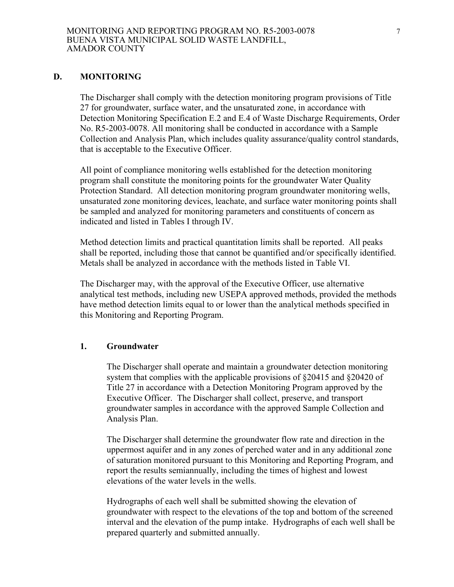#### **D. MONITORING**

The Discharger shall comply with the detection monitoring program provisions of Title 27 for groundwater, surface water, and the unsaturated zone, in accordance with Detection Monitoring Specification E.2 and E.4 of Waste Discharge Requirements, Order No. R5-2003-0078. All monitoring shall be conducted in accordance with a Sample Collection and Analysis Plan, which includes quality assurance/quality control standards, that is acceptable to the Executive Officer.

All point of compliance monitoring wells established for the detection monitoring program shall constitute the monitoring points for the groundwater Water Quality Protection Standard. All detection monitoring program groundwater monitoring wells, unsaturated zone monitoring devices, leachate, and surface water monitoring points shall be sampled and analyzed for monitoring parameters and constituents of concern as indicated and listed in Tables I through IV.

Method detection limits and practical quantitation limits shall be reported. All peaks shall be reported, including those that cannot be quantified and/or specifically identified. Metals shall be analyzed in accordance with the methods listed in Table VI.

The Discharger may, with the approval of the Executive Officer, use alternative analytical test methods, including new USEPA approved methods, provided the methods have method detection limits equal to or lower than the analytical methods specified in this Monitoring and Reporting Program.

#### **1. Groundwater**

The Discharger shall operate and maintain a groundwater detection monitoring system that complies with the applicable provisions of §20415 and §20420 of Title 27 in accordance with a Detection Monitoring Program approved by the Executive Officer. The Discharger shall collect, preserve, and transport groundwater samples in accordance with the approved Sample Collection and Analysis Plan.

The Discharger shall determine the groundwater flow rate and direction in the uppermost aquifer and in any zones of perched water and in any additional zone of saturation monitored pursuant to this Monitoring and Reporting Program, and report the results semiannually, including the times of highest and lowest elevations of the water levels in the wells.

Hydrographs of each well shall be submitted showing the elevation of groundwater with respect to the elevations of the top and bottom of the screened interval and the elevation of the pump intake. Hydrographs of each well shall be prepared quarterly and submitted annually.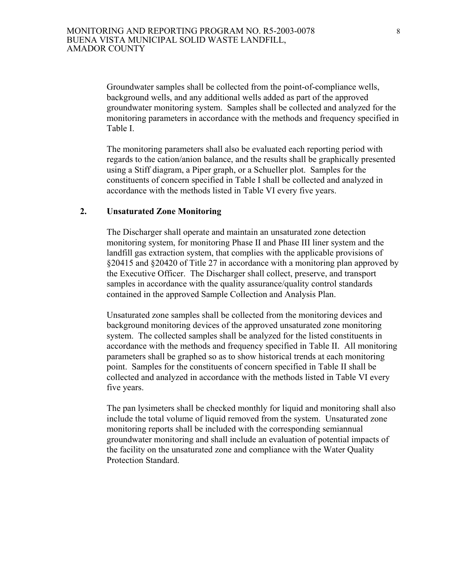Groundwater samples shall be collected from the point-of-compliance wells, background wells, and any additional wells added as part of the approved groundwater monitoring system. Samples shall be collected and analyzed for the monitoring parameters in accordance with the methods and frequency specified in Table I.

The monitoring parameters shall also be evaluated each reporting period with regards to the cation/anion balance, and the results shall be graphically presented using a Stiff diagram, a Piper graph, or a Schueller plot. Samples for the constituents of concern specified in Table I shall be collected and analyzed in accordance with the methods listed in Table VI every five years.

#### **2. Unsaturated Zone Monitoring**

The Discharger shall operate and maintain an unsaturated zone detection monitoring system, for monitoring Phase II and Phase III liner system and the landfill gas extraction system, that complies with the applicable provisions of §20415 and §20420 of Title 27 in accordance with a monitoring plan approved by the Executive Officer. The Discharger shall collect, preserve, and transport samples in accordance with the quality assurance/quality control standards contained in the approved Sample Collection and Analysis Plan.

Unsaturated zone samples shall be collected from the monitoring devices and background monitoring devices of the approved unsaturated zone monitoring system. The collected samples shall be analyzed for the listed constituents in accordance with the methods and frequency specified in Table II. All monitoring parameters shall be graphed so as to show historical trends at each monitoring point. Samples for the constituents of concern specified in Table II shall be collected and analyzed in accordance with the methods listed in Table VI every five years.

The pan lysimeters shall be checked monthly for liquid and monitoring shall also include the total volume of liquid removed from the system. Unsaturated zone monitoring reports shall be included with the corresponding semiannual groundwater monitoring and shall include an evaluation of potential impacts of the facility on the unsaturated zone and compliance with the Water Quality Protection Standard.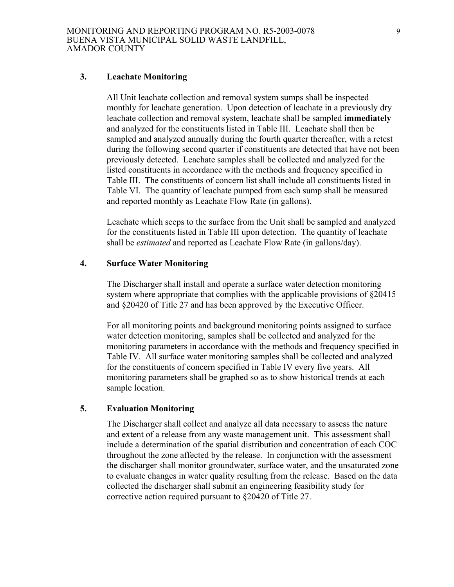#### **3. Leachate Monitoring**

All Unit leachate collection and removal system sumps shall be inspected monthly for leachate generation. Upon detection of leachate in a previously dry leachate collection and removal system, leachate shall be sampled **immediately** and analyzed for the constituents listed in Table III. Leachate shall then be sampled and analyzed annually during the fourth quarter thereafter, with a retest during the following second quarter if constituents are detected that have not been previously detected. Leachate samples shall be collected and analyzed for the listed constituents in accordance with the methods and frequency specified in Table III. The constituents of concern list shall include all constituents listed in Table VI. The quantity of leachate pumped from each sump shall be measured and reported monthly as Leachate Flow Rate (in gallons).

Leachate which seeps to the surface from the Unit shall be sampled and analyzed for the constituents listed in Table III upon detection. The quantity of leachate shall be *estimated* and reported as Leachate Flow Rate (in gallons/day).

#### **4. Surface Water Monitoring**

The Discharger shall install and operate a surface water detection monitoring system where appropriate that complies with the applicable provisions of  $\S 20415$ and §20420 of Title 27 and has been approved by the Executive Officer.

For all monitoring points and background monitoring points assigned to surface water detection monitoring, samples shall be collected and analyzed for the monitoring parameters in accordance with the methods and frequency specified in Table IV. All surface water monitoring samples shall be collected and analyzed for the constituents of concern specified in Table IV every five years. All monitoring parameters shall be graphed so as to show historical trends at each sample location.

### **5. Evaluation Monitoring**

The Discharger shall collect and analyze all data necessary to assess the nature and extent of a release from any waste management unit. This assessment shall include a determination of the spatial distribution and concentration of each COC throughout the zone affected by the release. In conjunction with the assessment the discharger shall monitor groundwater, surface water, and the unsaturated zone to evaluate changes in water quality resulting from the release. Based on the data collected the discharger shall submit an engineering feasibility study for corrective action required pursuant to §20420 of Title 27.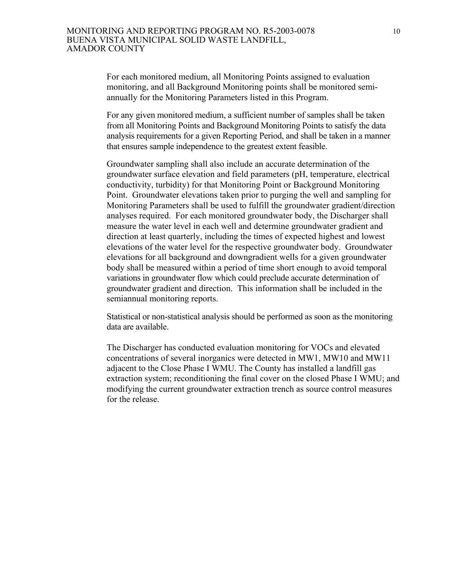For each monitored medium, all Monitoring Points assigned to evaluation monitoring, and all Background Monitoring points shall be monitored semiannually for the Monitoring Parameters listed in this Program.

For any given monitored medium, a sufficient number of samples shall be taken from all Monitoring Points and Background Monitoring Points to satisfy the data analysis requirements for a given Reporting Period, and shall be taken in a manner that ensures sample independence to the greatest extent feasible.

 Groundwater sampling shall also include an accurate determination of the groundwater surface elevation and field parameters (pH, temperature, electrical conductivity, turbidity) for that Monitoring Point or Background Monitoring Point. Groundwater elevations taken prior to purging the well and sampling for Monitoring Parameters shall be used to fulfill the groundwater gradient/direction analyses required. For each monitored groundwater body, the Discharger shall measure the water level in each well and determine groundwater gradient and direction at least quarterly, including the times of expected highest and lowest elevations of the water level for the respective groundwater body. Groundwater elevations for all background and downgradient wells for a given groundwater body shall be measured within a period of time short enough to avoid temporal variations in groundwater flow which could preclude accurate determination of groundwater gradient and direction. This information shall be included in the semiannual monitoring reports.

 Statistical or non-statistical analysis should be performed as soon as the monitoring data are available.

The Discharger has conducted evaluation monitoring for VOCs and elevated concentrations of several inorganics were detected in MW1, MW10 and MW11 adjacent to the Close Phase I WMU. The County has installed a landfill gas extraction system; reconditioning the final cover on the closed Phase I WMU; and modifying the current groundwater extraction trench as source control measures for the release.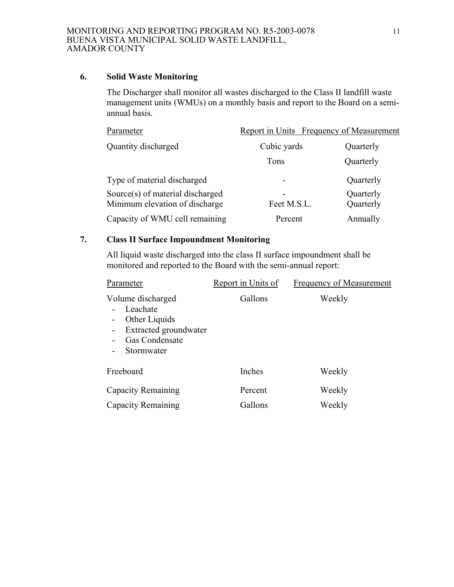## **6. Solid Waste Monitoring**

 The Discharger shall monitor all wastes discharged to the Class II landfill waste management units (WMUs) on a monthly basis and report to the Board on a semiannual basis.

| Parameter                                                          | Report in Units Frequency of Measurement |                        |
|--------------------------------------------------------------------|------------------------------------------|------------------------|
| Quantity discharged                                                | Cubic yards                              | Quarterly              |
|                                                                    | Tons                                     | Quarterly              |
| Type of material discharged                                        | -                                        | Quarterly              |
| Source(s) of material discharged<br>Minimum elevation of discharge | -<br>Feet M.S.L.                         | Quarterly<br>Quarterly |
| Capacity of WMU cell remaining                                     | Percent                                  | Annually               |

# **7. Class II Surface Impoundment Monitoring**

 All liquid waste discharged into the class II surface impoundment shall be monitored and reported to the Board with the semi-annual report:

| Parameter                                                                                                                                                                                                  | Report in Units of | <b>Frequency of Measurement</b> |
|------------------------------------------------------------------------------------------------------------------------------------------------------------------------------------------------------------|--------------------|---------------------------------|
| Volume discharged<br>Leachate<br>Other Liquids<br>$\overline{\phantom{a}}$<br>Extracted groundwater<br>$\overline{\phantom{a}}$<br><b>Gas Condensate</b><br>$\blacksquare$<br>Stormwater<br>$\blacksquare$ | Gallons            | Weekly                          |
| Freeboard                                                                                                                                                                                                  | Inches             | Weekly                          |
| <b>Capacity Remaining</b><br>Capacity Remaining                                                                                                                                                            | Percent<br>Gallons | Weekly<br>Weekly                |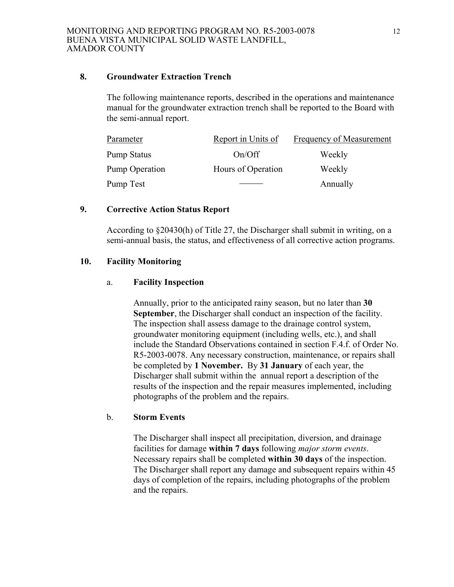#### **8. Groundwater Extraction Trench**

The following maintenance reports, described in the operations and maintenance manual for the groundwater extraction trench shall be reported to the Board with the semi-annual report.

| Parameter             | Report in Units of | Frequency of Measurement |
|-----------------------|--------------------|--------------------------|
| <b>Pump Status</b>    | On/Off             | Weekly                   |
| <b>Pump Operation</b> | Hours of Operation | Weekly                   |
| Pump Test             |                    | Annually                 |

## **9. Corrective Action Status Report**

According to §20430(h) of Title 27, the Discharger shall submit in writing, on a semi-annual basis, the status, and effectiveness of all corrective action programs.

## **10. Facility Monitoring**

### a. **Facility Inspection**

Annually, prior to the anticipated rainy season, but no later than **30 September**, the Discharger shall conduct an inspection of the facility. The inspection shall assess damage to the drainage control system, groundwater monitoring equipment (including wells, etc.), and shall include the Standard Observations contained in section F.4.f. of Order No. R5-2003-0078. Any necessary construction, maintenance, or repairs shall be completed by **1 November.** By **31 January** of each year, the Discharger shall submit within the annual report a description of the results of the inspection and the repair measures implemented, including photographs of the problem and the repairs.

### b. **Storm Events**

The Discharger shall inspect all precipitation, diversion, and drainage facilities for damage **within 7 days** following *major storm events*. Necessary repairs shall be completed **within 30 days** of the inspection. The Discharger shall report any damage and subsequent repairs within 45 days of completion of the repairs, including photographs of the problem and the repairs.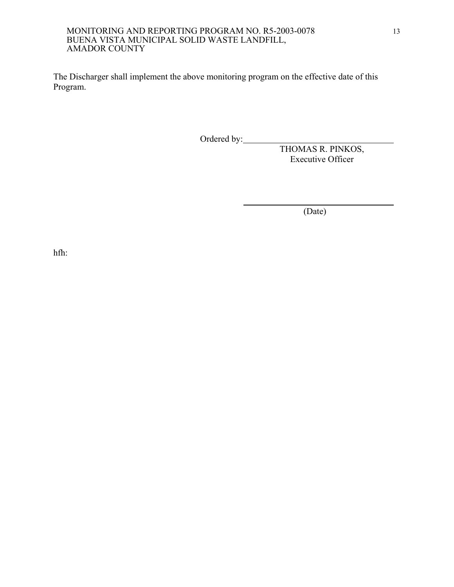#### MONITORING AND REPORTING PROGRAM NO. R5-2003-0078 BUENA VISTA MUNICIPAL SOLID WASTE LANDFILL, AMADOR COUNTY

The Discharger shall implement the above monitoring program on the effective date of this Program.

Ordered by:

 THOMAS R. PINKOS, Executive Officer

(Date)

hfh: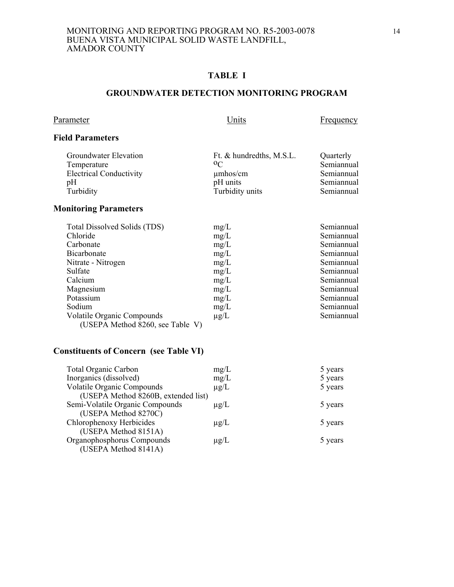# **TABLE I**

#### **GROUNDWATER DETECTION MONITORING PROGRAM**

## Parameter Units Erequency

## **Field Parameters**

| Groundwater Elevation          | Ft. & hundredths, M.S.L. | Quarterly  |
|--------------------------------|--------------------------|------------|
| Temperature                    | 0 <sup>C</sup>           | Semiannual |
| <b>Electrical Conductivity</b> | $\mu$ mhos/cm            | Semiannual |
| pΗ                             | pH units                 | Semiannual |
| Turbidity                      | Turbidity units          | Semiannual |
|                                |                          |            |

# **Monitoring Parameters**

| Total Dissolved Solids (TDS)     | mg/L      | Semiannual |
|----------------------------------|-----------|------------|
| Chloride                         | mg/L      | Semiannual |
| Carbonate                        | mg/L      | Semiannual |
| <b>Bicarbonate</b>               | mg/L      | Semiannual |
| Nitrate - Nitrogen               | mg/L      | Semiannual |
| Sulfate                          | mg/L      | Semiannual |
| Calcium                          | mg/L      | Semiannual |
| Magnesium                        | mg/L      | Semiannual |
| Potassium                        | mg/L      | Semiannual |
| Sodium                           | mg/L      | Semiannual |
| Volatile Organic Compounds       | $\mu$ g/L | Semiannual |
| (USEPA Method 8260, see Table V) |           |            |

# **Constituents of Concern (see Table VI)**

| <b>Total Organic Carbon</b>         | mg/L      | 5 years |
|-------------------------------------|-----------|---------|
| Inorganics (dissolved)              | mg/L      | 5 years |
| <b>Volatile Organic Compounds</b>   | $\mu$ g/L | 5 years |
| (USEPA Method 8260B, extended list) |           |         |
| Semi-Volatile Organic Compounds     | $\mu$ g/L | 5 years |
| (USEPA Method 8270C)                |           |         |
| Chlorophenoxy Herbicides            | $\mu$ g/L | 5 years |
| (USEPA Method 8151A)                |           |         |
| Organophosphorus Compounds          | $\mu$ g/L | 5 years |
| (USEPA Method 8141A)                |           |         |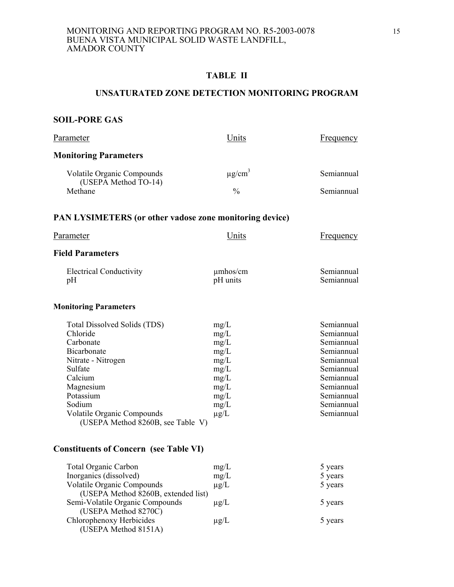### **TABLE II**

#### **UNSATURATED ZONE DETECTION MONITORING PROGRAM**

# **SOIL-PORE GAS**

| Parameter                                                                                                                                                                                                                      | Units                                                                                     | Frequency                                                                                                                                              |
|--------------------------------------------------------------------------------------------------------------------------------------------------------------------------------------------------------------------------------|-------------------------------------------------------------------------------------------|--------------------------------------------------------------------------------------------------------------------------------------------------------|
| <b>Monitoring Parameters</b>                                                                                                                                                                                                   |                                                                                           |                                                                                                                                                        |
| Volatile Organic Compounds                                                                                                                                                                                                     | $\mu$ g/cm <sup>3</sup>                                                                   | Semiannual                                                                                                                                             |
| (USEPA Method TO-14)<br>Methane                                                                                                                                                                                                | $\frac{0}{0}$                                                                             | Semiannual                                                                                                                                             |
| PAN LYSIMETERS (or other vadose zone monitoring device)                                                                                                                                                                        |                                                                                           |                                                                                                                                                        |
| Parameter                                                                                                                                                                                                                      | Units                                                                                     | <b>Frequency</b>                                                                                                                                       |
| <b>Field Parameters</b>                                                                                                                                                                                                        |                                                                                           |                                                                                                                                                        |
| <b>Electrical Conductivity</b><br>pH                                                                                                                                                                                           | $\mu$ mhos/cm<br>pH units                                                                 | Semiannual<br>Semiannual                                                                                                                               |
| <b>Monitoring Parameters</b>                                                                                                                                                                                                   |                                                                                           |                                                                                                                                                        |
| Total Dissolved Solids (TDS)<br>Chloride<br>Carbonate<br>Bicarbonate<br>Nitrate - Nitrogen<br>Sulfate<br>Calcium<br>Magnesium<br>Potassium<br>Sodium<br><b>Volatile Organic Compounds</b><br>(USEPA Method 8260B, see Table V) | mg/L<br>mg/L<br>mg/L<br>mg/L<br>mg/L<br>mg/L<br>mg/L<br>mg/L<br>mg/L<br>mg/L<br>$\mu$ g/L | Semiannual<br>Semiannual<br>Semiannual<br>Semiannual<br>Semiannual<br>Semiannual<br>Semiannual<br>Semiannual<br>Semiannual<br>Semiannual<br>Semiannual |
| <b>Constituents of Concern (see Table VI)</b>                                                                                                                                                                                  |                                                                                           |                                                                                                                                                        |

| <b>Total Organic Carbon</b>       |                                     | mg/L      | 5 years |
|-----------------------------------|-------------------------------------|-----------|---------|
| Inorganics (dissolved)            |                                     | mg/L      | 5 years |
| <b>Volatile Organic Compounds</b> |                                     | $\mu$ g/L | 5 years |
|                                   | (USEPA Method 8260B, extended list) |           |         |
| Semi-Volatile Organic Compounds   |                                     | $\mu$ g/L | 5 years |
| (USEPA Method 8270C)              |                                     |           |         |
| Chlorophenoxy Herbicides          |                                     | $\mu$ g/L | 5 years |
| (USEPA Method 8151A)              |                                     |           |         |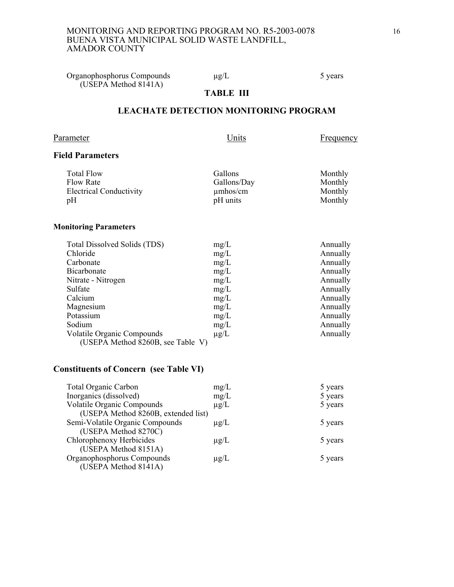#### MONITORING AND REPORTING PROGRAM NO. R5-2003-0078 BUENA VISTA MUNICIPAL SOLID WASTE LANDFILL, AMADOR COUNTY

Organophosphorus Compounds  $\mu$ g/L 5 years (USEPA Method 8141A)

# **TABLE III**

## **LEACHATE DETECTION MONITORING PROGRAM**

#### Parameter Units Erequency

## **Field Parameters**

| Total Flow                     | Gallons       | Monthly |
|--------------------------------|---------------|---------|
| Flow Rate                      | Gallons/Day   | Monthly |
| <b>Electrical Conductivity</b> | $\mu$ mhos/cm | Monthly |
| pH                             | pH units      | Monthly |
|                                |               |         |

#### **Monitoring Parameters**

| Total Dissolved Solids (TDS)      | mg/L      | Annually |
|-----------------------------------|-----------|----------|
| Chloride                          | mg/L      | Annually |
| Carbonate                         | mg/L      | Annually |
| Bicarbonate                       | mg/L      | Annually |
| Nitrate - Nitrogen                | mg/L      | Annually |
| Sulfate                           | mg/L      | Annually |
| Calcium                           | mg/L      | Annually |
| Magnesium                         | mg/L      | Annually |
| Potassium                         | mg/L      | Annually |
| Sodium                            | mg/L      | Annually |
| Volatile Organic Compounds        | $\mu$ g/L | Annually |
| (USEPA Method 8260B, see Table V) |           |          |

# **Constituents of Concern (see Table VI)**

| <b>Total Organic Carbon</b>         | mg/L      | 5 years |
|-------------------------------------|-----------|---------|
| Inorganics (dissolved)              | mg/L      | 5 years |
| <b>Volatile Organic Compounds</b>   | $\mu$ g/L | 5 years |
| (USEPA Method 8260B, extended list) |           |         |
| Semi-Volatile Organic Compounds     | $\mu$ g/L | 5 years |
| (USEPA Method 8270C)                |           |         |
| Chlorophenoxy Herbicides            | $\mu$ g/L | 5 years |
| (USEPA Method 8151A)                |           |         |
| Organophosphorus Compounds          | $\mu$ g/L | 5 years |
| (USEPA Method 8141A)                |           |         |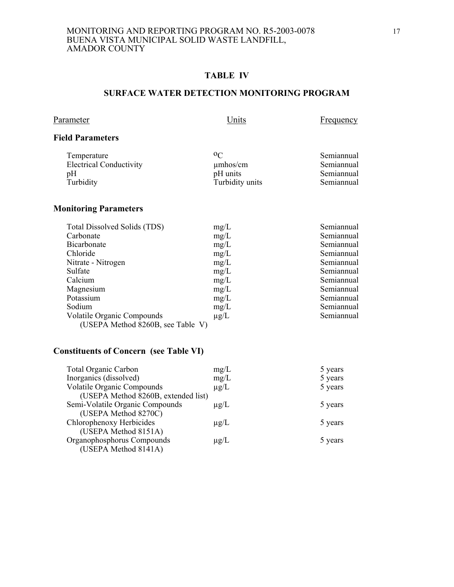#### MONITORING AND REPORTING PROGRAM NO. R5-2003-0078 BUENA VISTA MUNICIPAL SOLID WASTE LANDFILL, AMADOR COUNTY

## **TABLE IV**

#### **SURFACE WATER DETECTION MONITORING PROGRAM**

| Parameter |  |
|-----------|--|
|           |  |

Parameter Units Exemple of the Units Frequency

### **Field Parameters**

| Temperature                    | 0 <sup>C</sup>  | Semiannual |
|--------------------------------|-----------------|------------|
| <b>Electrical Conductivity</b> | $\mu$ mhos/cm   | Semiannual |
| pH                             | pH units        | Semiannual |
| Turbidity                      | Turbidity units | Semiannual |

# **Monitoring Parameters**

| Total Dissolved Solids (TDS)      | mg/L      | Semiannual |
|-----------------------------------|-----------|------------|
| Carbonate                         | mg/L      | Semiannual |
| <b>Bicarbonate</b>                | mg/L      | Semiannual |
| Chloride                          | mg/L      | Semiannual |
| Nitrate - Nitrogen                | mg/L      | Semiannual |
| Sulfate                           | mg/L      | Semiannual |
| Calcium                           | mg/L      | Semiannual |
| Magnesium                         | mg/L      | Semiannual |
| Potassium                         | mg/L      | Semiannual |
| Sodium                            | mg/L      | Semiannual |
| Volatile Organic Compounds        | $\mu$ g/L | Semiannual |
| (USEPA Method 8260B, see Table V) |           |            |

# **Constituents of Concern (see Table VI)**

| <b>Total Organic Carbon</b>         | mg/L      | 5 years |
|-------------------------------------|-----------|---------|
| Inorganics (dissolved)              | mg/L      | 5 years |
| <b>Volatile Organic Compounds</b>   | $\mu$ g/L | 5 years |
| (USEPA Method 8260B, extended list) |           |         |
| Semi-Volatile Organic Compounds     | $\mu$ g/L | 5 years |
| (USEPA Method 8270C)                |           |         |
| Chlorophenoxy Herbicides            | $\mu$ g/L | 5 years |
| (USEPA Method 8151A)                |           |         |
| Organophosphorus Compounds          | $\mu$ g/L | 5 years |
| (USEPA Method 8141A)                |           |         |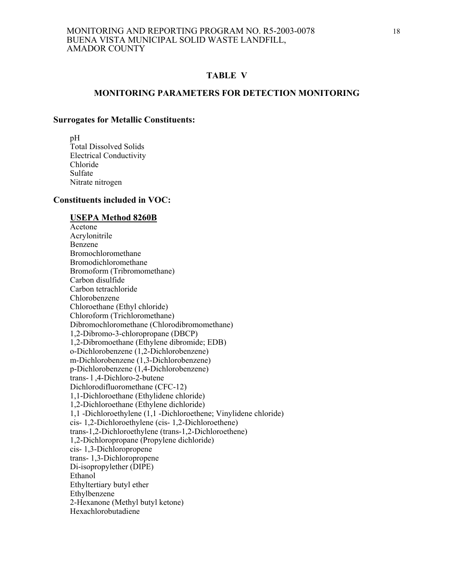#### **TABLE V**

#### **MONITORING PARAMETERS FOR DETECTION MONITORING**

#### **Surrogates for Metallic Constituents:**

 pH Total Dissolved Solids Electrical Conductivity Chloride Sulfate Nitrate nitrogen

#### **Constituents included in VOC:**

#### **USEPA Method 8260B**

 Acetone Acrylonitrile Benzene Bromochloromethane Bromodichloromethane Bromoform (Tribromomethane) Carbon disulfide Carbon tetrachloride Chlorobenzene Chloroethane (Ethyl chloride) Chloroform (Trichloromethane) Dibromochloromethane (Chlorodibromomethane) 1,2-Dibromo-3-chloropropane (DBCP) 1,2-Dibromoethane (Ethylene dibromide; EDB) o-Dichlorobenzene (1,2-Dichlorobenzene) m-Dichlorobenzene (1,3-Dichlorobenzene) p-Dichlorobenzene (1,4-Dichlorobenzene) trans- l ,4-Dichloro-2-butene Dichlorodifluoromethane (CFC-12) 1,1-Dichloroethane (Ethylidene chloride) 1,2-Dichloroethane (Ethylene dichloride) 1,1 -Dichloroethylene (1,1 -Dichloroethene; Vinylidene chloride) cis- 1,2-Dichloroethylene (cis- 1,2-Dichloroethene) trans-1,2-Dichloroethylene (trans-1,2-Dichloroethene) 1,2-Dichloropropane (Propylene dichloride) cis- 1,3-Dichloropropene trans- 1,3-Dichloropropene Di-isopropylether (DIPE) Ethanol Ethyltertiary butyl ether Ethylbenzene 2-Hexanone (Methyl butyl ketone) Hexachlorobutadiene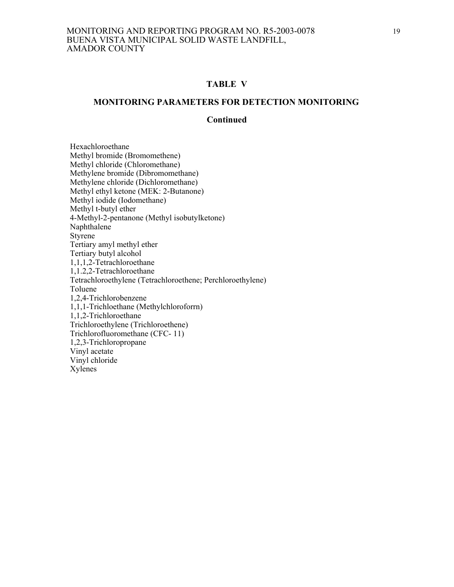#### **TABLE V**

#### **MONITORING PARAMETERS FOR DETECTION MONITORING**

#### **Continued**

 Hexachloroethane Methyl bromide (Bromomethene) Methyl chloride (Chloromethane) Methylene bromide (Dibromomethane) Methylene chloride (Dichloromethane) Methyl ethyl ketone (MEK: 2-Butanone) Methyl iodide (Iodomethane) Methyl t-butyl ether 4-Methyl-2-pentanone (Methyl isobutylketone) Naphthalene Styrene Tertiary amyl methyl ether Tertiary butyl alcohol 1,1,1,2-Tetrachloroethane 1,1.2,2-Tetrachloroethane Tetrachloroethylene (Tetrachloroethene; Perchloroethylene) Toluene 1,2,4-Trichlorobenzene 1,1,1-Trichloethane (Methylchloroforrn) 1,1,2-Trichloroethane Trichloroethylene (Trichloroethene) Trichlorofluoromethane (CFC- 11) 1,2,3-Trichloropropane Vinyl acetate Vinyl chloride Xylenes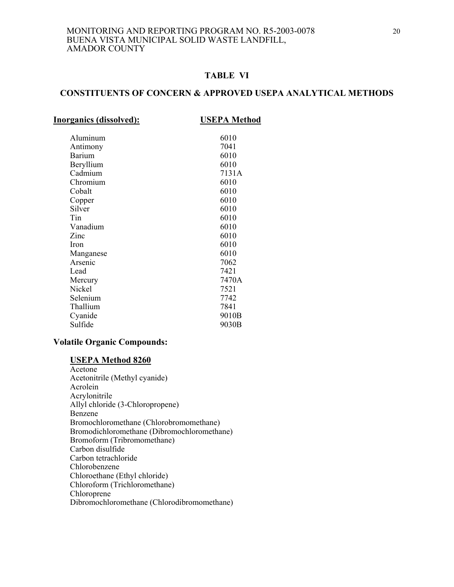## **TABLE VI**

### **CONSTITUENTS OF CONCERN & APPROVED USEPA ANALYTICAL METHODS**

| <b>Inorganics (dissolved):</b> | <b>USEPA Method</b> |
|--------------------------------|---------------------|
|                                |                     |
| Aluminum                       | 6010                |
| Antimony                       | 7041                |
| Barium                         | 6010                |
| Beryllium                      | 6010                |
| Cadmium                        | 7131A               |
| Chromium                       | 6010                |
| Cobalt                         | 6010                |
| Copper                         | 6010                |
| Silver                         | 6010                |
| Tin                            | 6010                |
| Vanadium                       | 6010                |
| Zinc                           | 6010                |
| Iron                           | 6010                |
| Manganese                      | 6010                |
| Arsenic                        | 7062                |
| Lead                           | 7421                |
| Mercury                        | 7470A               |
| Nickel                         | 7521                |
| Selenium                       | 7742                |
| Thallium                       | 7841                |
| Cyanide                        | 9010B               |
| Sulfide                        | 9030B               |
|                                |                     |

### **Volatile Organic Compounds:**

#### **USEPA Method 8260**

 Acetone Acetonitrile (Methyl cyanide) Acrolein Acrylonitrile Allyl chloride (3-Chloropropene) Benzene Bromochloromethane (Chlorobromomethane) Bromodichloromethane (Dibromochloromethane) Bromoform (Tribromomethane) Carbon disulfide Carbon tetrachloride Chlorobenzene Chloroethane (Ethyl chloride) Chloroform (Trichloromethane) Chloroprene Dibromochloromethane (Chlorodibromomethane)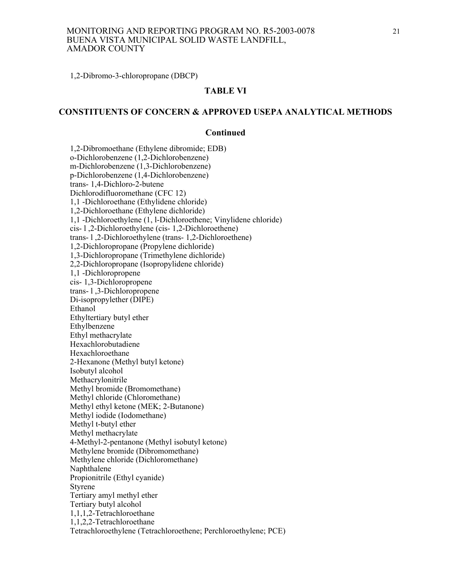#### MONITORING AND REPORTING PROGRAM NO. R5-2003-0078 BUENA VISTA MUNICIPAL SOLID WASTE LANDFILL, AMADOR COUNTY

1,2-Dibromo-3-chloropropane (DBCP)

#### **TABLE VI**

## **CONSTITUENTS OF CONCERN & APPROVED USEPA ANALYTICAL METHODS**

#### **Continued**

1,2-Dibromoethane (Ethylene dibromide; EDB) o-Dichlorobenzene (1,2-Dichlorobenzene) m-Dichlorobenzene (1,3-Dichlorobenzene) p-Dichlorobenzene (1,4-Dichlorobenzene) trans- 1,4-Dichloro-2-butene Dichlorodifluoromethane (CFC 12) 1,1 -Dichloroethane (Ethylidene chloride) 1,2-Dichloroethane (Ethylene dichloride) 1,1 -Dichloroethylene (1, l-Dichloroethene; Vinylidene chloride) cis- l ,2-Dichloroethylene (cis- 1,2-Dichloroethene) trans- l ,2-Dichloroethylene (trans- 1,2-Dichloroethene) 1,2-Dichloropropane (Propylene dichloride) 1,3-Dichloropropane (Trimethylene dichloride) 2,2-Dichloropropane (Isopropylidene chloride) 1,1 -Dichloropropene cis- 1,3-Dichloropropene trans- l ,3-Dichloropropene Di-isopropylether (DIPE) Ethanol Ethyltertiary butyl ether Ethylbenzene Ethyl methacrylate Hexachlorobutadiene Hexachloroethane 2-Hexanone (Methyl butyl ketone) Isobutyl alcohol Methacrylonitrile Methyl bromide (Bromomethane) Methyl chloride (Chloromethane) Methyl ethyl ketone (MEK; 2-Butanone) Methyl iodide (Iodomethane) Methyl t-butyl ether Methyl methacrylate 4-Methyl-2-pentanone (Methyl isobutyl ketone) Methylene bromide (Dibromomethane) Methylene chloride (Dichloromethane) Naphthalene Propionitrile (Ethyl cyanide) Styrene Tertiary amyl methyl ether Tertiary butyl alcohol 1,1,1,2-Tetrachloroethane 1,1,2,2-Tetrachloroethane Tetrachloroethylene (Tetrachloroethene; Perchloroethylene; PCE)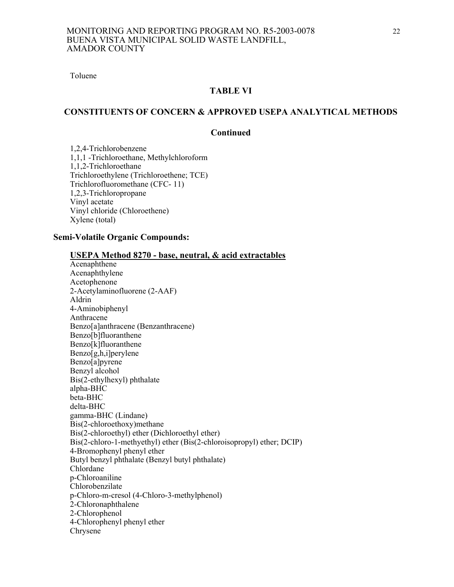Toluene

## **TABLE VI**

## **CONSTITUENTS OF CONCERN & APPROVED USEPA ANALYTICAL METHODS**

#### **Continued**

 1,2,4-Trichlorobenzene 1,1,1 -Trichloroethane, Methylchloroform 1,1,2-Trichloroethane Trichloroethylene (Trichloroethene; TCE) Trichlorofluoromethane (CFC- 11) 1,2,3-Trichloropropane Vinyl acetate Vinyl chloride (Chloroethene) Xylene (total)

#### **Semi-Volatile Organic Compounds:**

| <b>USEPA Method 8270 - base, neutral, &amp; acid extractables</b>     |
|-----------------------------------------------------------------------|
| Acenaphthene                                                          |
| Acenaphthylene                                                        |
| Acetophenone                                                          |
| 2-Acetylaminofluorene (2-AAF)                                         |
| Aldrin                                                                |
| 4-Aminobiphenyl                                                       |
| Anthracene                                                            |
| Benzo[a]anthracene (Benzanthracene)                                   |
| Benzo[b]fluoranthene                                                  |
| Benzo[k]fluoranthene                                                  |
| Benzo[g,h,i]perylene                                                  |
| Benzo[a]pyrene                                                        |
| Benzyl alcohol                                                        |
| Bis(2-ethylhexyl) phthalate                                           |
| alpha-BHC                                                             |
| beta-BHC                                                              |
| delta-BHC                                                             |
| gamma-BHC (Lindane)                                                   |
| Bis(2-chloroethoxy)methane                                            |
| Bis(2-chloroethyl) ether (Dichloroethyl ether)                        |
| Bis(2-chloro-1-methyethyl) ether (Bis(2-chloroisopropyl) ether; DCIP) |
| 4-Bromophenyl phenyl ether                                            |
| Butyl benzyl phthalate (Benzyl butyl phthalate)                       |
| Chlordane                                                             |
| p-Chloroaniline                                                       |
| Chlorobenzilate                                                       |
| p-Chloro-m-cresol (4-Chloro-3-methylphenol)                           |
| 2-Chloronaphthalene                                                   |
| 2-Chlorophenol                                                        |
| 4-Chlorophenyl phenyl ether                                           |
| Chrysene                                                              |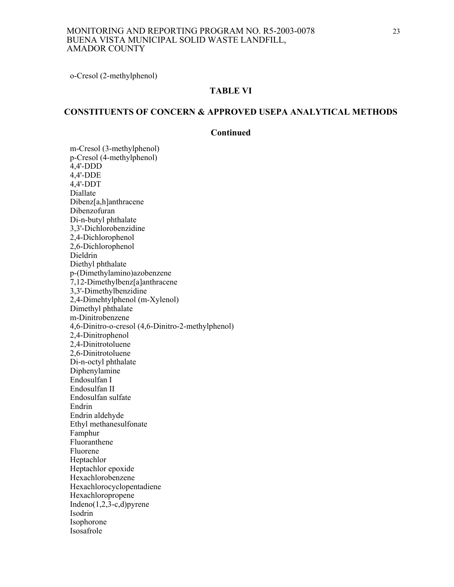o-Cresol (2-methylphenol)

#### **TABLE VI**

# **CONSTITUENTS OF CONCERN & APPROVED USEPA ANALYTICAL METHODS**

#### **Continued**

m-Cresol (3-methylphenol) p-Cresol (4-methylphenol) 4,4'-DDD 4,4'-DDE 4,4'-DDT Diallate Dibenz[a,h]anthracene Dibenzofuran Di-n-butyl phthalate 3,3'-Dichlorobenzidine 2,4-Dichlorophenol 2,6-Dichlorophenol Dieldrin Diethyl phthalate p-(Dimethylamino)azobenzene 7,12-Dimethylbenz[a]anthracene 3,3'-Dimethylbenzidine 2,4-Dimehtylphenol (m-Xylenol) Dimethyl phthalate m-Dinitrobenzene 4,6-Dinitro-o-cresol (4,6-Dinitro-2-methylphenol) 2,4-Dinitrophenol 2,4-Dinitrotoluene 2,6-Dinitrotoluene Di-n-octyl phthalate Diphenylamine Endosulfan I Endosulfan II Endosulfan sulfate Endrin Endrin aldehyde Ethyl methanesulfonate Famphur Fluoranthene Fluorene Heptachlor Heptachlor epoxide Hexachlorobenzene Hexachlorocyclopentadiene Hexachloropropene Indeno $(1,2,3-c,d)$ pyrene Isodrin Isophorone Isosafrole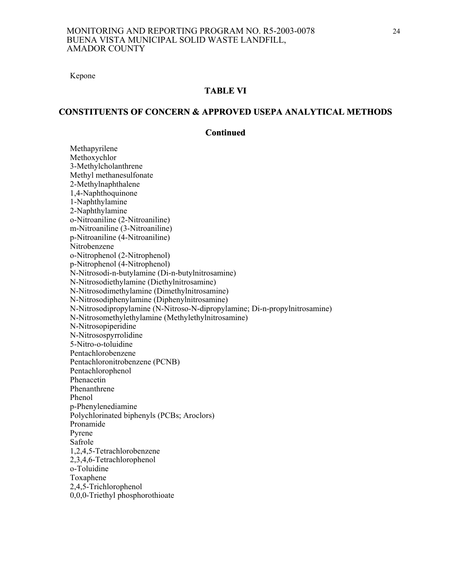Kepone

#### **TABLE VI**

#### **CONSTITUENTS OF CONCERN & APPROVED USEPA ANALYTICAL METHODS**

#### **Continued**

 Methapyrilene Methoxychlor 3-Methylcholanthrene Methyl methanesulfonate 2-Methylnaphthalene 1,4-Naphthoquinone 1-Naphthylamine 2-Naphthylamine o-Nitroaniline (2-Nitroaniline) m-Nitroaniline (3-Nitroaniline) p-Nitroaniline (4-Nitroaniline) Nitrobenzene o-Nitrophenol (2-Nitrophenol) p-Nitrophenol (4-Nitrophenol) N-Nitrosodi-n-butylamine (Di-n-butylnitrosamine) N-Nitrosodiethylamine (Diethylnitrosamine) N-Nitrosodimethylamine (Dimethylnitrosamine) N-Nitrosodiphenylamine (Diphenylnitrosamine) N-Nitrosodipropylamine (N-Nitroso-N-dipropylamine; Di-n-propylnitrosamine) N-Nitrosomethylethylamine (Methylethylnitrosamine) N-Nitrosopiperidine N-Nitrosospyrrolidine 5-Nitro-o-toluidine Pentachlorobenzene Pentachloronitrobenzene (PCNB) Pentachlorophenol Phenacetin Phenanthrene Phenol p-Phenylenediamine Polychlorinated biphenyls (PCBs; Aroclors) Pronamide Pyrene Safrole 1,2,4,5-Tetrachlorobenzene 2,3,4,6-Tetrachlorophenol o-Toluidine Toxaphene 2,4,5-Trichlorophenol 0,0,0-Triethyl phosphorothioate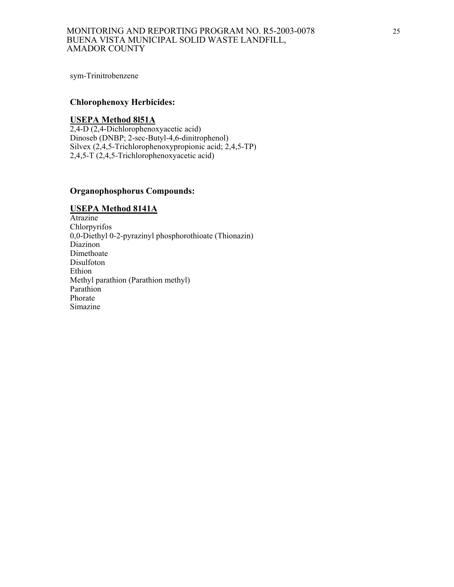sym-Trinitrobenzene

### **Chlorophenoxy Herbicides:**

#### **USEPA Method 8l51A**

2,4-D (2,4-Dichlorophenoxyacetic acid) Dinoseb (DNBP; 2-sec-Butyl-4,6-dinitrophenol) Silvex (2,4,5-Trichlorophenoxypropionic acid; 2,4,5-TP) 2,4,5-T (2,4,5-Trichlorophenoxyacetic acid)

#### **Organophosphorus Compounds:**

#### **USEPA Method 8141A**

Atrazine Chlorpyrifos 0,0-Diethyl 0-2-pyrazinyl phosphorothioate (Thionazin) Diazinon Dimethoate Disulfoton Ethion Methyl parathion (Parathion methyl) Parathion Phorate Simazine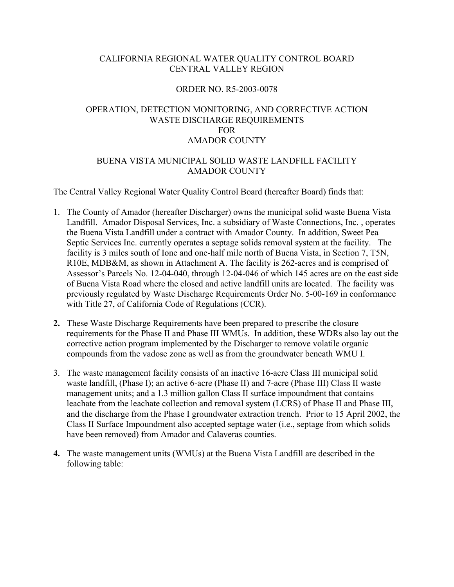## CALIFORNIA REGIONAL WATER QUALITY CONTROL BOARD CENTRAL VALLEY REGION

### ORDER NO. R5-2003-0078

# OPERATION, DETECTION MONITORING, AND CORRECTIVE ACTION WASTE DISCHARGE REQUIREMENTS FOR AMADOR COUNTY

## BUENA VISTA MUNICIPAL SOLID WASTE LANDFILL FACILITY AMADOR COUNTY

The Central Valley Regional Water Quality Control Board (hereafter Board) finds that:

- 1. The County of Amador (hereafter Discharger) owns the municipal solid waste Buena Vista Landfill. Amador Disposal Services, Inc. a subsidiary of Waste Connections, Inc. , operates the Buena Vista Landfill under a contract with Amador County. In addition, Sweet Pea Septic Services Inc. currently operates a septage solids removal system at the facility. The facility is 3 miles south of Ione and one-half mile north of Buena Vista, in Section 7, T5N, R10E, MDB&M, as shown in Attachment A. The facility is 262-acres and is comprised of Assessor's Parcels No. 12-04-040, through 12-04-046 of which 145 acres are on the east side of Buena Vista Road where the closed and active landfill units are located. The facility was previously regulated by Waste Discharge Requirements Order No. 5-00-169 in conformance with Title 27, of California Code of Regulations (CCR).
- **2.** These Waste Discharge Requirements have been prepared to prescribe the closure requirements for the Phase II and Phase III WMUs. In addition, these WDRs also lay out the corrective action program implemented by the Discharger to remove volatile organic compounds from the vadose zone as well as from the groundwater beneath WMU I.
- 3. The waste management facility consists of an inactive 16-acre Class III municipal solid waste landfill, (Phase I); an active 6-acre (Phase II) and 7-acre (Phase III) Class II waste management units; and a 1.3 million gallon Class II surface impoundment that contains leachate from the leachate collection and removal system (LCRS) of Phase II and Phase III, and the discharge from the Phase I groundwater extraction trench. Prior to 15 April 2002, the Class II Surface Impoundment also accepted septage water (i.e., septage from which solids have been removed) from Amador and Calaveras counties.
- **4.** The waste management units (WMUs) at the Buena Vista Landfill are described in the following table: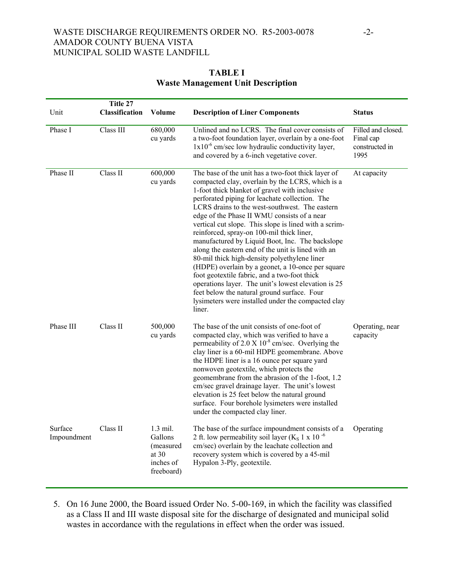### WASTE DISCHARGE REQUIREMENTS ORDER NO. R5-2003-0078 -2-AMADOR COUNTY BUENA VISTA MUNICIPAL SOLID WASTE LANDFILL

## **TABLE I Waste Management Unit Description**

|                        | Title 27              |                                                                          |                                                                                                                                                                                                                                                                                                                                                                                                                                                                                                                                                                                                                                                                                                                                                                                                                                                      |                                                           |
|------------------------|-----------------------|--------------------------------------------------------------------------|------------------------------------------------------------------------------------------------------------------------------------------------------------------------------------------------------------------------------------------------------------------------------------------------------------------------------------------------------------------------------------------------------------------------------------------------------------------------------------------------------------------------------------------------------------------------------------------------------------------------------------------------------------------------------------------------------------------------------------------------------------------------------------------------------------------------------------------------------|-----------------------------------------------------------|
| Unit                   | <b>Classification</b> | Volume                                                                   | <b>Description of Liner Components</b>                                                                                                                                                                                                                                                                                                                                                                                                                                                                                                                                                                                                                                                                                                                                                                                                               | <b>Status</b>                                             |
| Phase I                | Class III             | 680,000<br>cu yards                                                      | Unlined and no LCRS. The final cover consists of<br>a two-foot foundation layer, overlain by a one-foot<br>$1x10^{-6}$ cm/sec low hydraulic conductivity layer,<br>and covered by a 6-inch vegetative cover.                                                                                                                                                                                                                                                                                                                                                                                                                                                                                                                                                                                                                                         | Filled and closed.<br>Final cap<br>constructed in<br>1995 |
| Phase II               | Class II              | 600,000<br>cu yards                                                      | The base of the unit has a two-foot thick layer of<br>compacted clay, overlain by the LCRS, which is a<br>1-foot thick blanket of gravel with inclusive<br>perforated piping for leachate collection. The<br>LCRS drains to the west-southwest. The eastern<br>edge of the Phase II WMU consists of a near<br>vertical cut slope. This slope is lined with a scrim-<br>reinforced, spray-on 100-mil thick liner,<br>manufactured by Liquid Boot, Inc. The backslope<br>along the eastern end of the unit is lined with an<br>80-mil thick high-density polyethylene liner<br>(HDPE) overlain by a geonet, a 10-once per square<br>foot geotextile fabric, and a two-foot thick<br>operations layer. The unit's lowest elevation is 25<br>feet below the natural ground surface. Four<br>lysimeters were installed under the compacted clay<br>liner. | At capacity                                               |
| Phase III              | Class II              | 500,000<br>cu yards                                                      | The base of the unit consists of one-foot of<br>compacted clay, which was verified to have a<br>permeability of $2.0 \text{ X } 10^{-8}$ cm/sec. Overlying the<br>clay liner is a 60-mil HDPE geomembrane. Above<br>the HDPE liner is a 16 ounce per square yard<br>nonwoven geotextile, which protects the<br>geomembrane from the abrasion of the 1-foot, 1.2<br>cm/sec gravel drainage layer. The unit's lowest<br>elevation is 25 feet below the natural ground<br>surface. Four borehole lysimeters were installed<br>under the compacted clay liner.                                                                                                                                                                                                                                                                                           | Operating, near<br>capacity                               |
| Surface<br>Impoundment | Class II              | $1.3$ mil.<br>Gallons<br>(measured<br>at $30$<br>inches of<br>freeboard) | The base of the surface impoundment consists of a<br>2 ft. low permeability soil layer ( $K_S$ 1 x 10 <sup>-6</sup><br>cm/sec) overlain by the leachate collection and<br>recovery system which is covered by a 45-mil<br>Hypalon 3-Ply, geotextile.                                                                                                                                                                                                                                                                                                                                                                                                                                                                                                                                                                                                 | Operating                                                 |

5. On 16 June 2000, the Board issued Order No. 5-00-169, in which the facility was classified as a Class II and III waste disposal site for the discharge of designated and municipal solid wastes in accordance with the regulations in effect when the order was issued.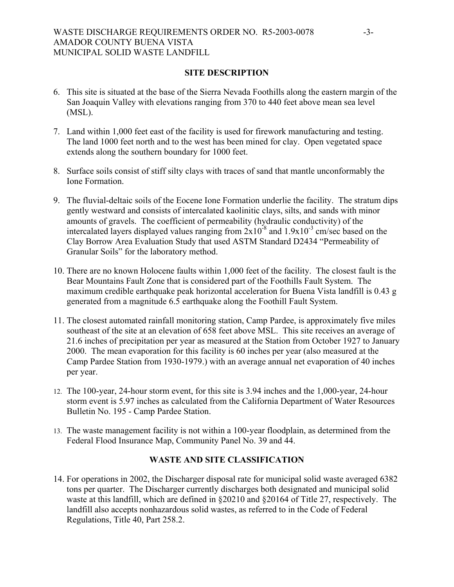## WASTE DISCHARGE REQUIREMENTS ORDER NO. R5-2003-0078 -3-AMADOR COUNTY BUENA VISTA MUNICIPAL SOLID WASTE LANDFILL

#### **SITE DESCRIPTION**

- 6. This site is situated at the base of the Sierra Nevada Foothills along the eastern margin of the San Joaquin Valley with elevations ranging from 370 to 440 feet above mean sea level (MSL).
- 7. Land within 1,000 feet east of the facility is used for firework manufacturing and testing. The land 1000 feet north and to the west has been mined for clay. Open vegetated space extends along the southern boundary for 1000 feet.
- 8. Surface soils consist of stiff silty clays with traces of sand that mantle unconformably the Ione Formation.
- 9. The fluvial-deltaic soils of the Eocene Ione Formation underlie the facility. The stratum dips gently westward and consists of intercalated kaolinitic clays, silts, and sands with minor amounts of gravels. The coefficient of permeability (hydraulic conductivity) of the intercalated layers displayed values ranging from  $2x10^{-8}$  and  $1.9x10^{-3}$  cm/sec based on the Clay Borrow Area Evaluation Study that used ASTM Standard D2434 "Permeability of Granular Soils" for the laboratory method.
- 10. There are no known Holocene faults within 1,000 feet of the facility. The closest fault is the Bear Mountains Fault Zone that is considered part of the Foothills Fault System. The maximum credible earthquake peak horizontal acceleration for Buena Vista landfill is 0.43 g generated from a magnitude 6.5 earthquake along the Foothill Fault System.
- 11. The closest automated rainfall monitoring station, Camp Pardee, is approximately five miles southeast of the site at an elevation of 658 feet above MSL. This site receives an average of 21.6 inches of precipitation per year as measured at the Station from October 1927 to January 2000. The mean evaporation for this facility is 60 inches per year (also measured at the Camp Pardee Station from 1930-1979.) with an average annual net evaporation of 40 inches per year.
- 12. The 100-year, 24-hour storm event, for this site is 3.94 inches and the 1,000-year, 24-hour storm event is 5.97 inches as calculated from the California Department of Water Resources Bulletin No. 195 - Camp Pardee Station.
- 13. The waste management facility is not within a 100-year floodplain, as determined from the Federal Flood Insurance Map, Community Panel No. 39 and 44.

### **WASTE AND SITE CLASSIFICATION**

14. For operations in 2002, the Discharger disposal rate for municipal solid waste averaged 6382 tons per quarter. The Discharger currently discharges both designated and municipal solid waste at this landfill, which are defined in §20210 and §20164 of Title 27, respectively. The landfill also accepts nonhazardous solid wastes, as referred to in the Code of Federal Regulations, Title 40, Part 258.2.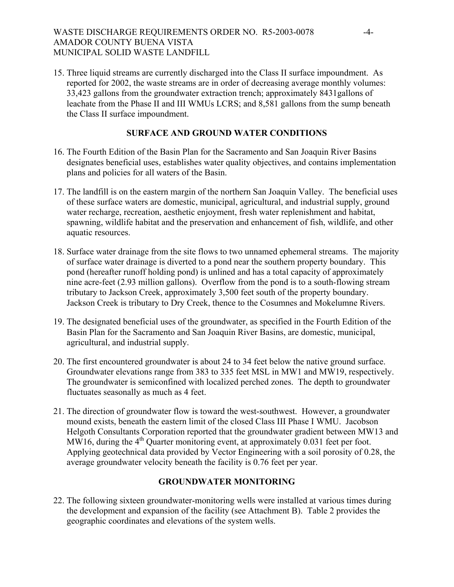# WASTE DISCHARGE REQUIREMENTS ORDER NO. R5-2003-0078 -4-AMADOR COUNTY BUENA VISTA MUNICIPAL SOLID WASTE LANDFILL

15. Three liquid streams are currently discharged into the Class II surface impoundment. As reported for 2002, the waste streams are in order of decreasing average monthly volumes: 33,423 gallons from the groundwater extraction trench; approximately 8431gallons of leachate from the Phase II and III WMUs LCRS; and 8,581 gallons from the sump beneath the Class II surface impoundment.

## **SURFACE AND GROUND WATER CONDITIONS**

- 16. The Fourth Edition of the Basin Plan for the Sacramento and San Joaquin River Basins designates beneficial uses, establishes water quality objectives, and contains implementation plans and policies for all waters of the Basin.
- 17. The landfill is on the eastern margin of the northern San Joaquin Valley. The beneficial uses of these surface waters are domestic, municipal, agricultural, and industrial supply, ground water recharge, recreation, aesthetic enjoyment, fresh water replenishment and habitat, spawning, wildlife habitat and the preservation and enhancement of fish, wildlife, and other aquatic resources.
- 18. Surface water drainage from the site flows to two unnamed ephemeral streams. The majority of surface water drainage is diverted to a pond near the southern property boundary. This pond (hereafter runoff holding pond) is unlined and has a total capacity of approximately nine acre-feet (2.93 million gallons). Overflow from the pond is to a south-flowing stream tributary to Jackson Creek, approximately 3,500 feet south of the property boundary. Jackson Creek is tributary to Dry Creek, thence to the Cosumnes and Mokelumne Rivers.
- 19. The designated beneficial uses of the groundwater, as specified in the Fourth Edition of the Basin Plan for the Sacramento and San Joaquin River Basins, are domestic, municipal, agricultural, and industrial supply.
- 20. The first encountered groundwater is about 24 to 34 feet below the native ground surface. Groundwater elevations range from 383 to 335 feet MSL in MW1 and MW19, respectively. The groundwater is semiconfined with localized perched zones. The depth to groundwater fluctuates seasonally as much as 4 feet.
- 21. The direction of groundwater flow is toward the west-southwest. However, a groundwater mound exists, beneath the eastern limit of the closed Class III Phase I WMU. Jacobson Helgoth Consultants Corporation reported that the groundwater gradient between MW13 and MW16, during the  $4<sup>th</sup>$  Quarter monitoring event, at approximately 0.031 feet per foot. Applying geotechnical data provided by Vector Engineering with a soil porosity of 0.28, the average groundwater velocity beneath the facility is 0.76 feet per year.

# **GROUNDWATER MONITORING**

22. The following sixteen groundwater-monitoring wells were installed at various times during the development and expansion of the facility (see Attachment B). Table 2 provides the geographic coordinates and elevations of the system wells.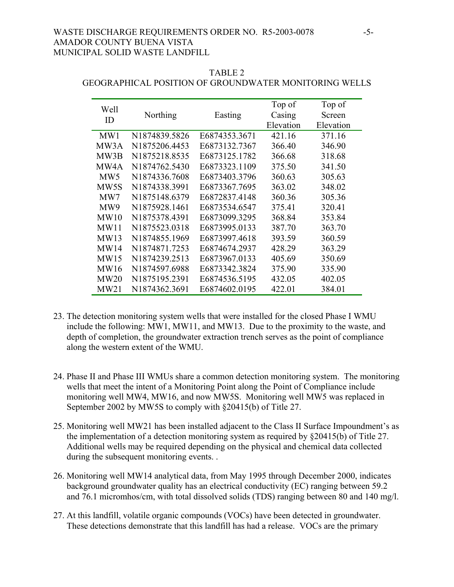### WASTE DISCHARGE REQUIREMENTS ORDER NO. R5-2003-0078 -5-AMADOR COUNTY BUENA VISTA MUNICIPAL SOLID WASTE LANDFILL

#### TABLE 2

| Well<br>ID        | Northing      | Easting       | Top of<br>Casing | Top of<br>Screen |
|-------------------|---------------|---------------|------------------|------------------|
|                   |               |               | Elevation        | Elevation        |
| MW1               | N1874839.5826 | E6874353.3671 | 421.16           | 371.16           |
| MW3A              | N1875206.4453 | E6873132.7367 | 366.40           | 346.90           |
| MW3B              | N1875218.8535 | E6873125.1782 | 366.68           | 318.68           |
| MW4A              | N1874762.5430 | E6873323.1109 | 375.50           | 341.50           |
| MW5               | N1874336.7608 | E6873403.3796 | 360.63           | 305.63           |
| MW <sub>5</sub> S | N1874338.3991 | E6873367.7695 | 363.02           | 348.02           |
| MW7               | N1875148.6379 | E6872837.4148 | 360.36           | 305.36           |
| MW9               | N1875928.1461 | E6873534.6547 | 375.41           | 320.41           |
| MW10              | N1875378.4391 | E6873099.3295 | 368.84           | 353.84           |
| MW11              | N1875523.0318 | E6873995.0133 | 387.70           | 363.70           |
| MW13              | N1874855.1969 | E6873997.4618 | 393.59           | 360.59           |
| MW14              | N1874871.7253 | E6874674.2937 | 428.29           | 363.29           |
| MW15              | N1874239.2513 | E6873967.0133 | 405.69           | 350.69           |
| MW16              | N1874597.6988 | E6873342.3824 | 375.90           | 335.90           |
| MW20              | N1875195.2391 | E6874536.5195 | 432.05           | 402.05           |
| MW21              | N1874362.3691 | E6874602.0195 | 422.01           | 384.01           |

# GEOGRAPHICAL POSITION OF GROUNDWATER MONITORING WELLS

- 23. The detection monitoring system wells that were installed for the closed Phase I WMU include the following: MW1, MW11, and MW13. Due to the proximity to the waste, and depth of completion, the groundwater extraction trench serves as the point of compliance along the western extent of the WMU.
- 24. Phase II and Phase III WMUs share a common detection monitoring system. The monitoring wells that meet the intent of a Monitoring Point along the Point of Compliance include monitoring well MW4, MW16, and now MW5S. Monitoring well MW5 was replaced in September 2002 by MW5S to comply with §20415(b) of Title 27.
- 25. Monitoring well MW21 has been installed adjacent to the Class II Surface Impoundment's as the implementation of a detection monitoring system as required by §20415(b) of Title 27. Additional wells may be required depending on the physical and chemical data collected during the subsequent monitoring events.
- 26. Monitoring well MW14 analytical data, from May 1995 through December 2000, indicates background groundwater quality has an electrical conductivity (EC) ranging between 59.2 and 76.1 micromhos/cm, with total dissolved solids (TDS) ranging between 80 and 140 mg/l.
- 27. At this landfill, volatile organic compounds (VOCs) have been detected in groundwater. These detections demonstrate that this landfill has had a release. VOCs are the primary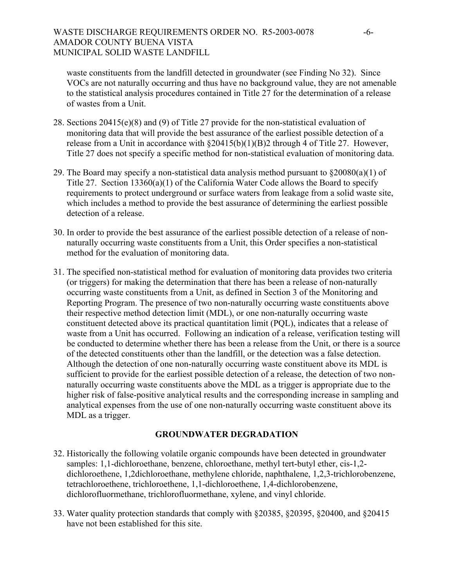waste constituents from the landfill detected in groundwater (see Finding No 32). Since VOCs are not naturally occurring and thus have no background value, they are not amenable to the statistical analysis procedures contained in Title 27 for the determination of a release of wastes from a Unit.

- 28. Sections 20415(e)(8) and (9) of Title 27 provide for the non-statistical evaluation of monitoring data that will provide the best assurance of the earliest possible detection of a release from a Unit in accordance with  $\S20415(b)(1)(B)2$  through 4 of Title 27. However, Title 27 does not specify a specific method for non-statistical evaluation of monitoring data.
- 29. The Board may specify a non-statistical data analysis method pursuant to  $\S20080(a)(1)$  of Title 27. Section 13360(a)(1) of the California Water Code allows the Board to specify requirements to protect underground or surface waters from leakage from a solid waste site, which includes a method to provide the best assurance of determining the earliest possible detection of a release.
- 30. In order to provide the best assurance of the earliest possible detection of a release of nonnaturally occurring waste constituents from a Unit, this Order specifies a non-statistical method for the evaluation of monitoring data.
- 31. The specified non-statistical method for evaluation of monitoring data provides two criteria (or triggers) for making the determination that there has been a release of non-naturally occurring waste constituents from a Unit, as defined in Section 3 of the Monitoring and Reporting Program. The presence of two non-naturally occurring waste constituents above their respective method detection limit (MDL), or one non-naturally occurring waste constituent detected above its practical quantitation limit (PQL), indicates that a release of waste from a Unit has occurred. Following an indication of a release, verification testing will be conducted to determine whether there has been a release from the Unit, or there is a source of the detected constituents other than the landfill, or the detection was a false detection. Although the detection of one non-naturally occurring waste constituent above its MDL is sufficient to provide for the earliest possible detection of a release, the detection of two nonnaturally occurring waste constituents above the MDL as a trigger is appropriate due to the higher risk of false-positive analytical results and the corresponding increase in sampling and analytical expenses from the use of one non-naturally occurring waste constituent above its MDL as a trigger.

# **GROUNDWATER DEGRADATION**

- 32. Historically the following volatile organic compounds have been detected in groundwater samples: 1,1-dichloroethane, benzene, chloroethane, methyl tert-butyl ether, cis-1,2 dichloroethene, 1,2dichloroethane, methylene chloride, naphthalene, 1,2,3-trichlorobenzene, tetrachloroethene, trichloroethene, 1,1-dichloroethene, 1,4-dichlorobenzene, dichlorofluormethane, trichlorofluormethane, xylene, and vinyl chloride.
- 33. Water quality protection standards that comply with §20385, §20395, §20400, and §20415 have not been established for this site.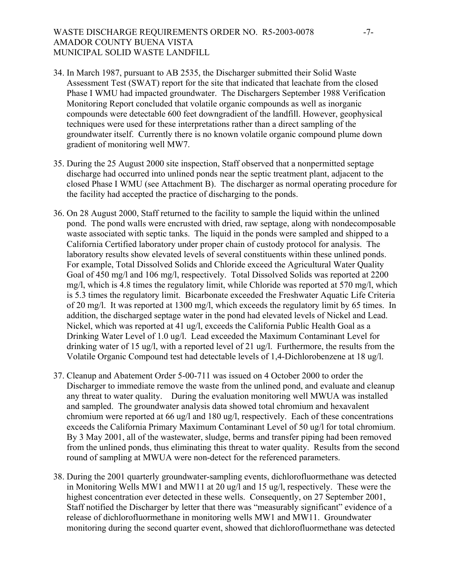## WASTE DISCHARGE REQUIREMENTS ORDER NO. R5-2003-0078 -7-AMADOR COUNTY BUENA VISTA MUNICIPAL SOLID WASTE LANDFILL

- 34. In March 1987, pursuant to AB 2535, the Discharger submitted their Solid Waste Assessment Test (SWAT) report for the site that indicated that leachate from the closed Phase I WMU had impacted groundwater. The Dischargers September 1988 Verification Monitoring Report concluded that volatile organic compounds as well as inorganic compounds were detectable 600 feet downgradient of the landfill. However, geophysical techniques were used for these interpretations rather than a direct sampling of the groundwater itself. Currently there is no known volatile organic compound plume down gradient of monitoring well MW7.
- 35. During the 25 August 2000 site inspection, Staff observed that a nonpermitted septage discharge had occurred into unlined ponds near the septic treatment plant, adjacent to the closed Phase I WMU (see Attachment B). The discharger as normal operating procedure for the facility had accepted the practice of discharging to the ponds.
- 36. On 28 August 2000, Staff returned to the facility to sample the liquid within the unlined pond. The pond walls were encrusted with dried, raw septage, along with nondecomposable waste associated with septic tanks. The liquid in the ponds were sampled and shipped to a California Certified laboratory under proper chain of custody protocol for analysis. The laboratory results show elevated levels of several constituents within these unlined ponds. For example, Total Dissolved Solids and Chloride exceed the Agricultural Water Quality Goal of 450 mg/l and 106 mg/l, respectively. Total Dissolved Solids was reported at 2200 mg/l, which is 4.8 times the regulatory limit, while Chloride was reported at 570 mg/l, which is 5.3 times the regulatory limit. Bicarbonate exceeded the Freshwater Aquatic Life Criteria of 20 mg/l. It was reported at 1300 mg/l, which exceeds the regulatory limit by 65 times. In addition, the discharged septage water in the pond had elevated levels of Nickel and Lead. Nickel, which was reported at 41 ug/l, exceeds the California Public Health Goal as a Drinking Water Level of 1.0 ug/l. Lead exceeded the Maximum Contaminant Level for drinking water of 15 ug/l, with a reported level of 21 ug/l. Furthermore, the results from the Volatile Organic Compound test had detectable levels of 1,4-Dichlorobenzene at 18 ug/l.
- 37. Cleanup and Abatement Order 5-00-711 was issued on 4 October 2000 to order the Discharger to immediate remove the waste from the unlined pond, and evaluate and cleanup any threat to water quality. During the evaluation monitoring well MWUA was installed and sampled. The groundwater analysis data showed total chromium and hexavalent chromium were reported at 66 ug/l and 180 ug/l, respectively. Each of these concentrations exceeds the California Primary Maximum Contaminant Level of 50 ug/l for total chromium. By 3 May 2001, all of the wastewater, sludge, berms and transfer piping had been removed from the unlined ponds, thus eliminating this threat to water quality. Results from the second round of sampling at MWUA were non-detect for the referenced parameters.
- 38. During the 2001 quarterly groundwater-sampling events, dichlorofluormethane was detected in Monitoring Wells MW1 and MW11 at 20 ug/l and 15 ug/l, respectively. These were the highest concentration ever detected in these wells. Consequently, on 27 September 2001, Staff notified the Discharger by letter that there was "measurably significant" evidence of a release of dichlorofluormethane in monitoring wells MW1 and MW11. Groundwater monitoring during the second quarter event, showed that dichlorofluormethane was detected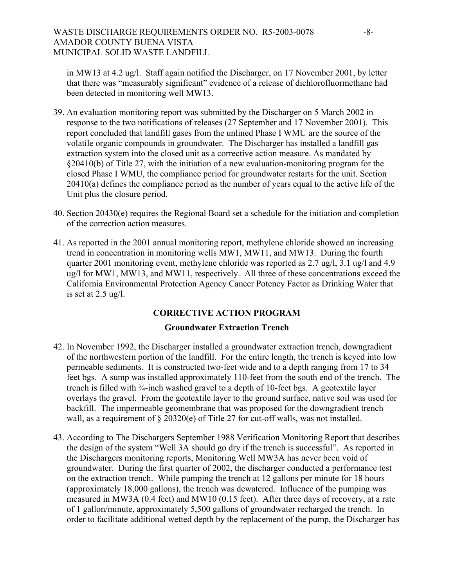in MW13 at 4.2 ug/l. Staff again notified the Discharger, on 17 November 2001, by letter that there was "measurably significant" evidence of a release of dichlorofluormethane had been detected in monitoring well MW13.

- 39. An evaluation monitoring report was submitted by the Discharger on 5 March 2002 in response to the two notifications of releases (27 September and 17 November 2001). This report concluded that landfill gases from the unlined Phase I WMU are the source of the volatile organic compounds in groundwater. The Discharger has installed a landfill gas extraction system into the closed unit as a corrective action measure. As mandated by §20410(b) of Title 27, with the initiation of a new evaluation-monitoring program for the closed Phase I WMU, the compliance period for groundwater restarts for the unit. Section 20410(a) defines the compliance period as the number of years equal to the active life of the Unit plus the closure period.
- 40. Section 20430(e) requires the Regional Board set a schedule for the initiation and completion of the correction action measures.
- 41. As reported in the 2001 annual monitoring report, methylene chloride showed an increasing trend in concentration in monitoring wells MW1, MW11, and MW13. During the fourth quarter 2001 monitoring event, methylene chloride was reported as 2.7 ug/l, 3.1 ug/l and 4.9 ug/l for MW1, MW13, and MW11, respectively. All three of these concentrations exceed the California Environmental Protection Agency Cancer Potency Factor as Drinking Water that is set at 2.5 ug/l.

# **CORRECTIVE ACTION PROGRAM**

# **Groundwater Extraction Trench**

- 42. In November 1992, the Discharger installed a groundwater extraction trench, downgradient of the northwestern portion of the landfill. For the entire length, the trench is keyed into low permeable sediments. It is constructed two-feet wide and to a depth ranging from 17 to 34 feet bgs. A sump was installed approximately 110-feet from the south end of the trench. The trench is filled with ¾-inch washed gravel to a depth of 10-feet bgs. A geotextile layer overlays the gravel. From the geotextile layer to the ground surface, native soil was used for backfill. The impermeable geomembrane that was proposed for the downgradient trench wall, as a requirement of § 20320(e) of Title 27 for cut-off walls, was not installed.
- 43. According to The Dischargers September 1988 Verification Monitoring Report that describes the design of the system "Well 3A should go dry if the trench is successful". As reported in the Dischargers monitoring reports, Monitoring Well MW3A has never been void of groundwater. During the first quarter of 2002, the discharger conducted a performance test on the extraction trench. While pumping the trench at 12 gallons per minute for 18 hours (approximately 18,000 gallons), the trench was dewatered. Influence of the pumping was measured in MW3A (0.4 feet) and MW10 (0.15 feet). After three days of recovery, at a rate of 1 gallon/minute, approximately 5,500 gallons of groundwater recharged the trench. In order to facilitate additional wetted depth by the replacement of the pump, the Discharger has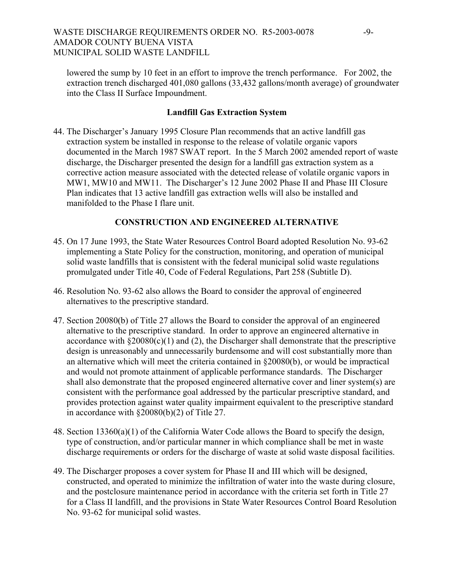lowered the sump by 10 feet in an effort to improve the trench performance. For 2002, the extraction trench discharged 401,080 gallons (33,432 gallons/month average) of groundwater into the Class II Surface Impoundment.

# **Landfill Gas Extraction System**

44. The Discharger's January 1995 Closure Plan recommends that an active landfill gas extraction system be installed in response to the release of volatile organic vapors documented in the March 1987 SWAT report. In the 5 March 2002 amended report of waste discharge, the Discharger presented the design for a landfill gas extraction system as a corrective action measure associated with the detected release of volatile organic vapors in MW1, MW10 and MW11. The Discharger's 12 June 2002 Phase II and Phase III Closure Plan indicates that 13 active landfill gas extraction wells will also be installed and manifolded to the Phase I flare unit.

# **CONSTRUCTION AND ENGINEERED ALTERNATIVE**

- 45. On 17 June 1993, the State Water Resources Control Board adopted Resolution No. 93-62 implementing a State Policy for the construction, monitoring, and operation of municipal solid waste landfills that is consistent with the federal municipal solid waste regulations promulgated under Title 40, Code of Federal Regulations, Part 258 (Subtitle D).
- 46. Resolution No. 93-62 also allows the Board to consider the approval of engineered alternatives to the prescriptive standard.
- 47. Section 20080(b) of Title 27 allows the Board to consider the approval of an engineered alternative to the prescriptive standard. In order to approve an engineered alternative in accordance with  $\S 20080(c)(1)$  and (2), the Discharger shall demonstrate that the prescriptive design is unreasonably and unnecessarily burdensome and will cost substantially more than an alternative which will meet the criteria contained in §20080(b), or would be impractical and would not promote attainment of applicable performance standards. The Discharger shall also demonstrate that the proposed engineered alternative cover and liner system(s) are consistent with the performance goal addressed by the particular prescriptive standard, and provides protection against water quality impairment equivalent to the prescriptive standard in accordance with §20080(b)(2) of Title 27.
- 48. Section 13360(a)(1) of the California Water Code allows the Board to specify the design, type of construction, and/or particular manner in which compliance shall be met in waste discharge requirements or orders for the discharge of waste at solid waste disposal facilities.
- 49. The Discharger proposes a cover system for Phase II and III which will be designed, constructed, and operated to minimize the infiltration of water into the waste during closure, and the postclosure maintenance period in accordance with the criteria set forth in Title 27 for a Class II landfill, and the provisions in State Water Resources Control Board Resolution No. 93-62 for municipal solid wastes.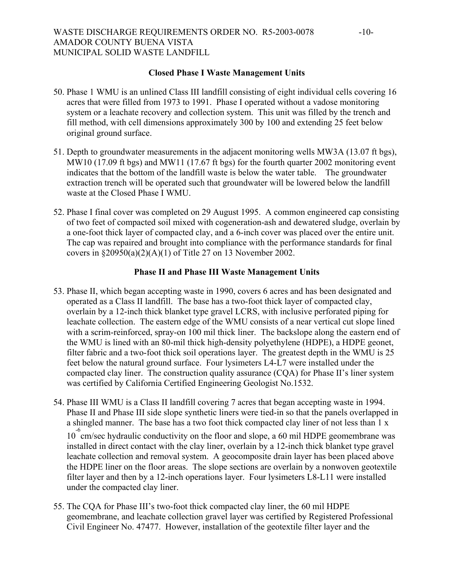## WASTE DISCHARGE REQUIREMENTS ORDER NO. R5-2003-0078 -10-AMADOR COUNTY BUENA VISTA MUNICIPAL SOLID WASTE LANDFILL

### **Closed Phase I Waste Management Units**

- 50. Phase 1 WMU is an unlined Class III landfill consisting of eight individual cells covering 16 acres that were filled from 1973 to 1991. Phase I operated without a vadose monitoring system or a leachate recovery and collection system. This unit was filled by the trench and fill method, with cell dimensions approximately 300 by 100 and extending 25 feet below original ground surface.
- 51. Depth to groundwater measurements in the adjacent monitoring wells MW3A (13.07 ft bgs), MW<sub>10</sub> (17.09 ft bgs) and MW<sub>11</sub> (17.67 ft bgs) for the fourth quarter 2002 monitoring event indicates that the bottom of the landfill waste is below the water table. The groundwater extraction trench will be operated such that groundwater will be lowered below the landfill waste at the Closed Phase I WMU.
- 52. Phase I final cover was completed on 29 August 1995. A common engineered cap consisting of two feet of compacted soil mixed with cogeneration-ash and dewatered sludge, overlain by a one-foot thick layer of compacted clay, and a 6-inch cover was placed over the entire unit. The cap was repaired and brought into compliance with the performance standards for final covers in §20950(a)(2)(A)(1) of Title 27 on 13 November 2002.

#### **Phase II and Phase III Waste Management Units**

- 53. Phase II, which began accepting waste in 1990, covers 6 acres and has been designated and operated as a Class II landfill. The base has a two-foot thick layer of compacted clay, overlain by a 12-inch thick blanket type gravel LCRS, with inclusive perforated piping for leachate collection. The eastern edge of the WMU consists of a near vertical cut slope lined with a scrim-reinforced, spray-on 100 mil thick liner. The backslope along the eastern end of the WMU is lined with an 80-mil thick high-density polyethylene (HDPE), a HDPE geonet, filter fabric and a two-foot thick soil operations layer. The greatest depth in the WMU is 25 feet below the natural ground surface. Four lysimeters L4-L7 were installed under the compacted clay liner. The construction quality assurance (CQA) for Phase II's liner system was certified by California Certified Engineering Geologist No.1532.
- 54. Phase III WMU is a Class II landfill covering 7 acres that began accepting waste in 1994. Phase II and Phase III side slope synthetic liners were tied-in so that the panels overlapped in a shingled manner. The base has a two foot thick compacted clay liner of not less than 1 x <sup>10</sup><sup>-6</sup> cm/sec hydraulic conductivity on the floor and slope, a 60 mil HDPE geomembrane was installed in direct contact with the clay liner, overlain by a 12-inch thick blanket type gravel leachate collection and removal system. A geocomposite drain layer has been placed above the HDPE liner on the floor areas. The slope sections are overlain by a nonwoven geotextile filter layer and then by a 12-inch operations layer. Four lysimeters L8-L11 were installed under the compacted clay liner.
- 55. The CQA for Phase III's two-foot thick compacted clay liner, the 60 mil HDPE geomembrane, and leachate collection gravel layer was certified by Registered Professional Civil Engineer No. 47477. However, installation of the geotextile filter layer and the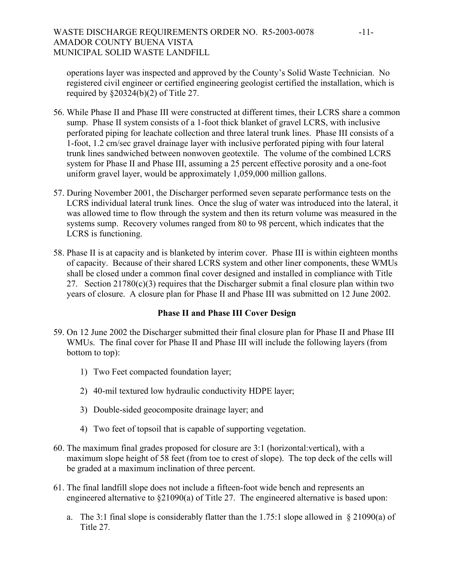# WASTE DISCHARGE REQUIREMENTS ORDER NO. R5-2003-0078 -11-AMADOR COUNTY BUENA VISTA MUNICIPAL SOLID WASTE LANDFILL

operations layer was inspected and approved by the County's Solid Waste Technician. No registered civil engineer or certified engineering geologist certified the installation, which is required by  $\S 20324(b)(2)$  of Title 27.

- 56. While Phase II and Phase III were constructed at different times, their LCRS share a common sump. Phase II system consists of a 1-foot thick blanket of gravel LCRS, with inclusive perforated piping for leachate collection and three lateral trunk lines. Phase III consists of a 1-foot, 1.2 cm/sec gravel drainage layer with inclusive perforated piping with four lateral trunk lines sandwiched between nonwoven geotextile. The volume of the combined LCRS system for Phase II and Phase III, assuming a 25 percent effective porosity and a one-foot uniform gravel layer, would be approximately 1,059,000 million gallons.
- 57. During November 2001, the Discharger performed seven separate performance tests on the LCRS individual lateral trunk lines. Once the slug of water was introduced into the lateral, it was allowed time to flow through the system and then its return volume was measured in the systems sump. Recovery volumes ranged from 80 to 98 percent, which indicates that the LCRS is functioning.
- 58. Phase II is at capacity and is blanketed by interim cover. Phase III is within eighteen months of capacity. Because of their shared LCRS system and other liner components, these WMUs shall be closed under a common final cover designed and installed in compliance with Title 27. Section  $21780(c)(3)$  requires that the Discharger submit a final closure plan within two years of closure. A closure plan for Phase II and Phase III was submitted on 12 June 2002.

# **Phase II and Phase III Cover Design**

- 59. On 12 June 2002 the Discharger submitted their final closure plan for Phase II and Phase III WMUs. The final cover for Phase II and Phase III will include the following layers (from bottom to top):
	- 1) Two Feet compacted foundation layer;
	- 2) 40-mil textured low hydraulic conductivity HDPE layer;
	- 3) Double-sided geocomposite drainage layer; and
	- 4) Two feet of topsoil that is capable of supporting vegetation.
- 60. The maximum final grades proposed for closure are 3:1 (horizontal:vertical), with a maximum slope height of 58 feet (from toe to crest of slope). The top deck of the cells will be graded at a maximum inclination of three percent.
- 61. The final landfill slope does not include a fifteen-foot wide bench and represents an engineered alternative to §21090(a) of Title 27. The engineered alternative is based upon:
	- a. The 3:1 final slope is considerably flatter than the 1.75:1 slope allowed in  $\S 21090(a)$  of Title 27.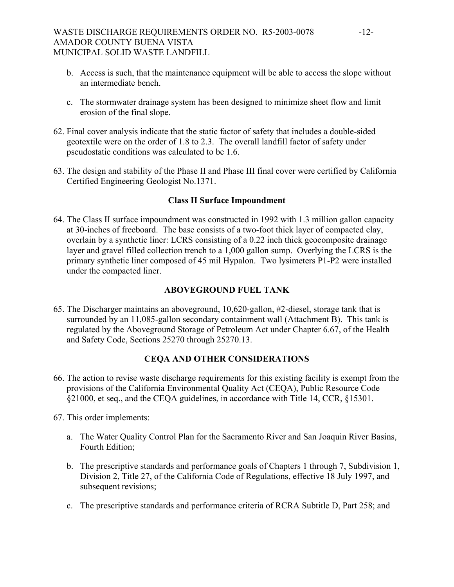- b. Access is such, that the maintenance equipment will be able to access the slope without an intermediate bench.
- c. The stormwater drainage system has been designed to minimize sheet flow and limit erosion of the final slope.
- 62. Final cover analysis indicate that the static factor of safety that includes a double-sided geotextile were on the order of 1.8 to 2.3. The overall landfill factor of safety under pseudostatic conditions was calculated to be 1.6.
- 63. The design and stability of the Phase II and Phase III final cover were certified by California Certified Engineering Geologist No.1371.

# **Class II Surface Impoundment**

64. The Class II surface impoundment was constructed in 1992 with 1.3 million gallon capacity at 30-inches of freeboard. The base consists of a two-foot thick layer of compacted clay, overlain by a synthetic liner: LCRS consisting of a 0.22 inch thick geocomposite drainage layer and gravel filled collection trench to a 1,000 gallon sump. Overlying the LCRS is the primary synthetic liner composed of 45 mil Hypalon. Two lysimeters P1-P2 were installed under the compacted liner.

# **ABOVEGROUND FUEL TANK**

65. The Discharger maintains an aboveground, 10,620-gallon, #2-diesel, storage tank that is surrounded by an 11,085-gallon secondary containment wall (Attachment B). This tank is regulated by the Aboveground Storage of Petroleum Act under Chapter 6.67, of the Health and Safety Code, Sections 25270 through 25270.13.

# **CEQA AND OTHER CONSIDERATIONS**

- 66. The action to revise waste discharge requirements for this existing facility is exempt from the provisions of the California Environmental Quality Act (CEQA), Public Resource Code §21000, et seq., and the CEQA guidelines, in accordance with Title 14, CCR, §15301.
- 67. This order implements:
	- a. The Water Quality Control Plan for the Sacramento River and San Joaquin River Basins, Fourth Edition;
	- b. The prescriptive standards and performance goals of Chapters 1 through 7, Subdivision 1, Division 2, Title 27, of the California Code of Regulations, effective 18 July 1997, and subsequent revisions;
	- c. The prescriptive standards and performance criteria of RCRA Subtitle D, Part 258; and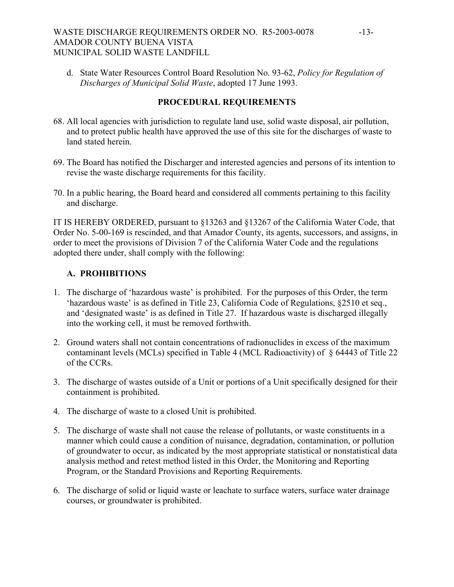# WASTE DISCHARGE REQUIREMENTS ORDER NO. R5-2003-0078 -13-AMADOR COUNTY BUENA VISTA MUNICIPAL SOLID WASTE LANDFILL

d. State Water Resources Control Board Resolution No. 93-62, *Policy for Regulation of Discharges of Municipal Solid Waste*, adopted 17 June 1993.

# **PROCEDURAL REQUIREMENTS**

- 68. All local agencies with jurisdiction to regulate land use, solid waste disposal, air pollution, and to protect public health have approved the use of this site for the discharges of waste to land stated herein.
- 69. The Board has notified the Discharger and interested agencies and persons of its intention to revise the waste discharge requirements for this facility.
- 70. In a public hearing, the Board heard and considered all comments pertaining to this facility and discharge.

IT IS HEREBY ORDERED, pursuant to §13263 and §13267 of the California Water Code, that Order No. 5-00-169 is rescinded, and that Amador County, its agents, successors, and assigns, in order to meet the provisions of Division 7 of the California Water Code and the regulations adopted there under, shall comply with the following:

# **A. PROHIBITIONS**

- 1. The discharge of 'hazardous waste' is prohibited. For the purposes of this Order, the term 'hazardous waste' is as defined in Title 23, California Code of Regulations, §2510 et seq., and 'designated waste' is as defined in Title 27. If hazardous waste is discharged illegally into the working cell, it must be removed forthwith.
- 2. Ground waters shall not contain concentrations of radionuclides in excess of the maximum contaminant levels (MCLs) specified in Table 4 (MCL Radioactivity) of § 64443 of Title 22 of the CCRs.
- 3. The discharge of wastes outside of a Unit or portions of a Unit specifically designed for their containment is prohibited.
- 4. The discharge of waste to a closed Unit is prohibited.
- 5. The discharge of waste shall not cause the release of pollutants, or waste constituents in a manner which could cause a condition of nuisance, degradation, contamination, or pollution of groundwater to occur, as indicated by the most appropriate statistical or nonstatistical data analysis method and retest method listed in this Order, the Monitoring and Reporting Program, or the Standard Provisions and Reporting Requirements.
- 6. The discharge of solid or liquid waste or leachate to surface waters, surface water drainage courses, or groundwater is prohibited.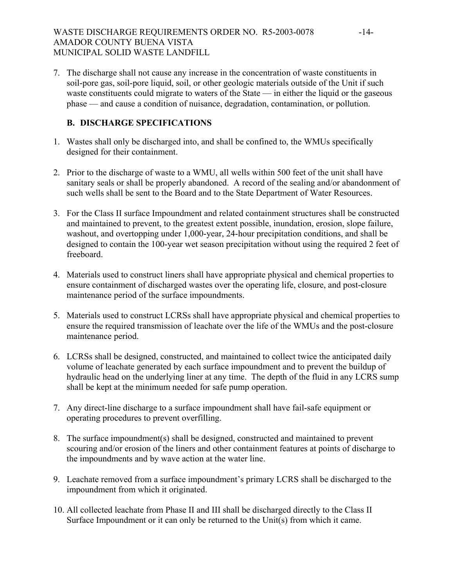7. The discharge shall not cause any increase in the concentration of waste constituents in soil-pore gas, soil-pore liquid, soil, or other geologic materials outside of the Unit if such waste constituents could migrate to waters of the State — in either the liquid or the gaseous phase — and cause a condition of nuisance, degradation, contamination, or pollution.

# **B. DISCHARGE SPECIFICATIONS**

- 1. Wastes shall only be discharged into, and shall be confined to, the WMUs specifically designed for their containment.
- 2. Prior to the discharge of waste to a WMU, all wells within 500 feet of the unit shall have sanitary seals or shall be properly abandoned. A record of the sealing and/or abandonment of such wells shall be sent to the Board and to the State Department of Water Resources.
- 3. For the Class II surface Impoundment and related containment structures shall be constructed and maintained to prevent, to the greatest extent possible, inundation, erosion, slope failure, washout, and overtopping under 1,000-year, 24-hour precipitation conditions, and shall be designed to contain the 100-year wet season precipitation without using the required 2 feet of freeboard.
- 4. Materials used to construct liners shall have appropriate physical and chemical properties to ensure containment of discharged wastes over the operating life, closure, and post-closure maintenance period of the surface impoundments.
- 5. Materials used to construct LCRSs shall have appropriate physical and chemical properties to ensure the required transmission of leachate over the life of the WMUs and the post-closure maintenance period.
- 6. LCRSs shall be designed, constructed, and maintained to collect twice the anticipated daily volume of leachate generated by each surface impoundment and to prevent the buildup of hydraulic head on the underlying liner at any time. The depth of the fluid in any LCRS sump shall be kept at the minimum needed for safe pump operation.
- 7. Any direct-line discharge to a surface impoundment shall have fail-safe equipment or operating procedures to prevent overfilling.
- 8. The surface impoundment(s) shall be designed, constructed and maintained to prevent scouring and/or erosion of the liners and other containment features at points of discharge to the impoundments and by wave action at the water line.
- 9. Leachate removed from a surface impoundment's primary LCRS shall be discharged to the impoundment from which it originated.
- 10. All collected leachate from Phase II and III shall be discharged directly to the Class II Surface Impoundment or it can only be returned to the Unit(s) from which it came.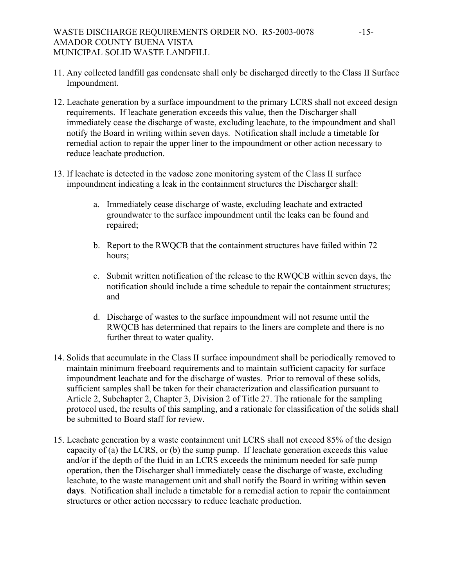# WASTE DISCHARGE REQUIREMENTS ORDER NO. R5-2003-0078 -15-AMADOR COUNTY BUENA VISTA MUNICIPAL SOLID WASTE LANDFILL

- 11. Any collected landfill gas condensate shall only be discharged directly to the Class II Surface Impoundment.
- 12. Leachate generation by a surface impoundment to the primary LCRS shall not exceed design requirements. If leachate generation exceeds this value, then the Discharger shall immediately cease the discharge of waste, excluding leachate, to the impoundment and shall notify the Board in writing within seven days. Notification shall include a timetable for remedial action to repair the upper liner to the impoundment or other action necessary to reduce leachate production.
- 13. If leachate is detected in the vadose zone monitoring system of the Class II surface impoundment indicating a leak in the containment structures the Discharger shall:
	- a. Immediately cease discharge of waste, excluding leachate and extracted groundwater to the surface impoundment until the leaks can be found and repaired;
	- b. Report to the RWQCB that the containment structures have failed within 72 hours;
	- c. Submit written notification of the release to the RWQCB within seven days, the notification should include a time schedule to repair the containment structures; and
	- d. Discharge of wastes to the surface impoundment will not resume until the RWQCB has determined that repairs to the liners are complete and there is no further threat to water quality.
- 14. Solids that accumulate in the Class II surface impoundment shall be periodically removed to maintain minimum freeboard requirements and to maintain sufficient capacity for surface impoundment leachate and for the discharge of wastes. Prior to removal of these solids, sufficient samples shall be taken for their characterization and classification pursuant to Article 2, Subchapter 2, Chapter 3, Division 2 of Title 27. The rationale for the sampling protocol used, the results of this sampling, and a rationale for classification of the solids shall be submitted to Board staff for review.
- 15. Leachate generation by a waste containment unit LCRS shall not exceed 85% of the design capacity of (a) the LCRS, or (b) the sump pump. If leachate generation exceeds this value and/or if the depth of the fluid in an LCRS exceeds the minimum needed for safe pump operation, then the Discharger shall immediately cease the discharge of waste, excluding leachate, to the waste management unit and shall notify the Board in writing within **seven days**. Notification shall include a timetable for a remedial action to repair the containment structures or other action necessary to reduce leachate production.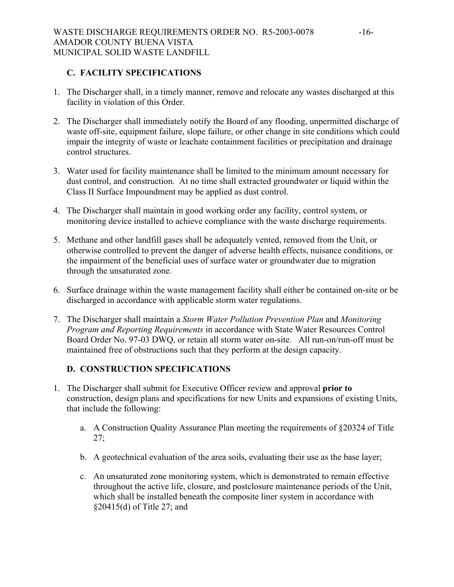# **C. FACILITY SPECIFICATIONS**

- 1. The Discharger shall, in a timely manner, remove and relocate any wastes discharged at this facility in violation of this Order.
- 2. The Discharger shall immediately notify the Board of any flooding, unpermitted discharge of waste off-site, equipment failure, slope failure, or other change in site conditions which could impair the integrity of waste or leachate containment facilities or precipitation and drainage control structures.
- 3. Water used for facility maintenance shall be limited to the minimum amount necessary for dust control, and construction. At no time shall extracted groundwater or liquid within the Class II Surface Impoundment may be applied as dust control.
- 4. The Discharger shall maintain in good working order any facility, control system, or monitoring device installed to achieve compliance with the waste discharge requirements.
- 5. Methane and other landfill gases shall be adequately vented, removed from the Unit, or otherwise controlled to prevent the danger of adverse health effects, nuisance conditions, or the impairment of the beneficial uses of surface water or groundwater due to migration through the unsaturated zone.
- 6. Surface drainage within the waste management facility shall either be contained on-site or be discharged in accordance with applicable storm water regulations.
- 7. The Discharger shall maintain a *Storm Water Pollution Prevention Plan* and *Monitoring Program and Reporting Requirements* in accordance with State Water Resources Control Board Order No. 97-03 DWQ, or retain all storm water on-site. All run-on/run-off must be maintained free of obstructions such that they perform at the design capacity.

# **D. CONSTRUCTION SPECIFICATIONS**

- 1. The Discharger shall submit for Executive Officer review and approval **prior to** construction, design plans and specifications for new Units and expansions of existing Units, that include the following:
	- a. A Construction Quality Assurance Plan meeting the requirements of §20324 of Title 27;
	- b. A geotechnical evaluation of the area soils, evaluating their use as the base layer;
	- c. An unsaturated zone monitoring system, which is demonstrated to remain effective throughout the active life, closure, and postclosure maintenance periods of the Unit, which shall be installed beneath the composite liner system in accordance with §20415(d) of Title 27; and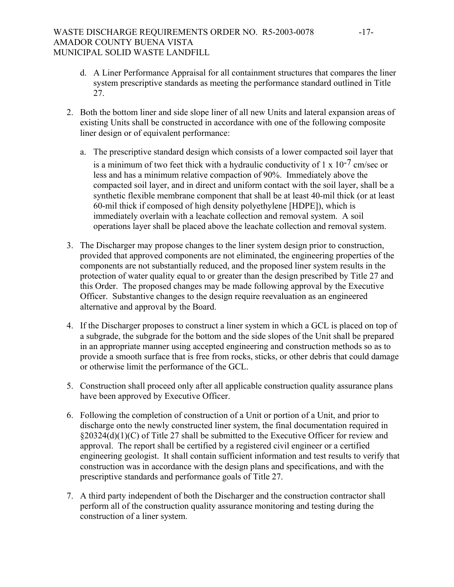## WASTE DISCHARGE REQUIREMENTS ORDER NO. R5-2003-0078 -17-AMADOR COUNTY BUENA VISTA MUNICIPAL SOLID WASTE LANDFILL

- d. A Liner Performance Appraisal for all containment structures that compares the liner system prescriptive standards as meeting the performance standard outlined in Title 27.
- 2. Both the bottom liner and side slope liner of all new Units and lateral expansion areas of existing Units shall be constructed in accordance with one of the following composite liner design or of equivalent performance:
	- a. The prescriptive standard design which consists of a lower compacted soil layer that is a minimum of two feet thick with a hydraulic conductivity of  $1 \times 10^{-7}$  cm/sec or less and has a minimum relative compaction of 90%. Immediately above the compacted soil layer, and in direct and uniform contact with the soil layer, shall be a synthetic flexible membrane component that shall be at least 40-mil thick (or at least 60-mil thick if composed of high density polyethylene [HDPE]), which is immediately overlain with a leachate collection and removal system. A soil operations layer shall be placed above the leachate collection and removal system.
- 3. The Discharger may propose changes to the liner system design prior to construction, provided that approved components are not eliminated, the engineering properties of the components are not substantially reduced, and the proposed liner system results in the protection of water quality equal to or greater than the design prescribed by Title 27 and this Order. The proposed changes may be made following approval by the Executive Officer. Substantive changes to the design require reevaluation as an engineered alternative and approval by the Board.
- 4. If the Discharger proposes to construct a liner system in which a GCL is placed on top of a subgrade, the subgrade for the bottom and the side slopes of the Unit shall be prepared in an appropriate manner using accepted engineering and construction methods so as to provide a smooth surface that is free from rocks, sticks, or other debris that could damage or otherwise limit the performance of the GCL.
- 5. Construction shall proceed only after all applicable construction quality assurance plans have been approved by Executive Officer.
- 6. Following the completion of construction of a Unit or portion of a Unit, and prior to discharge onto the newly constructed liner system, the final documentation required in §20324(d)(1)(C) of Title 27 shall be submitted to the Executive Officer for review and approval. The report shall be certified by a registered civil engineer or a certified engineering geologist. It shall contain sufficient information and test results to verify that construction was in accordance with the design plans and specifications, and with the prescriptive standards and performance goals of Title 27.
- 7. A third party independent of both the Discharger and the construction contractor shall perform all of the construction quality assurance monitoring and testing during the construction of a liner system.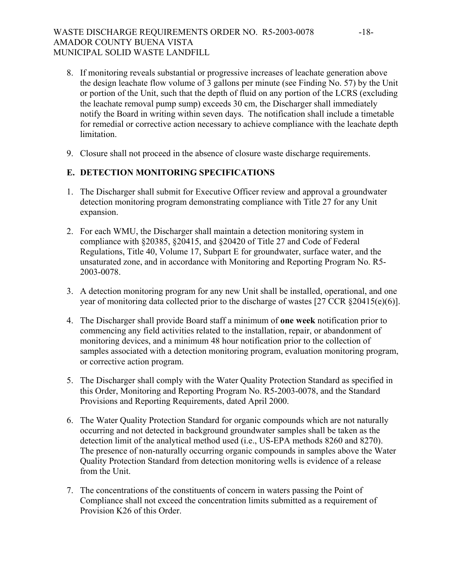# WASTE DISCHARGE REQUIREMENTS ORDER NO. R5-2003-0078 -18-AMADOR COUNTY BUENA VISTA MUNICIPAL SOLID WASTE LANDFILL

- 8. If monitoring reveals substantial or progressive increases of leachate generation above the design leachate flow volume of 3 gallons per minute (see Finding No. 57) by the Unit or portion of the Unit, such that the depth of fluid on any portion of the LCRS (excluding the leachate removal pump sump) exceeds 30 cm, the Discharger shall immediately notify the Board in writing within seven days. The notification shall include a timetable for remedial or corrective action necessary to achieve compliance with the leachate depth limitation.
- 9. Closure shall not proceed in the absence of closure waste discharge requirements.

# **E. DETECTION MONITORING SPECIFICATIONS**

- 1. The Discharger shall submit for Executive Officer review and approval a groundwater detection monitoring program demonstrating compliance with Title 27 for any Unit expansion.
- 2. For each WMU, the Discharger shall maintain a detection monitoring system in compliance with §20385, §20415, and §20420 of Title 27 and Code of Federal Regulations, Title 40, Volume 17, Subpart E for groundwater, surface water, and the unsaturated zone, and in accordance with Monitoring and Reporting Program No. R5- 2003-0078.
- 3. A detection monitoring program for any new Unit shall be installed, operational, and one year of monitoring data collected prior to the discharge of wastes [27 CCR §20415(e)(6)].
- 4. The Discharger shall provide Board staff a minimum of **one week** notification prior to commencing any field activities related to the installation, repair, or abandonment of monitoring devices, and a minimum 48 hour notification prior to the collection of samples associated with a detection monitoring program, evaluation monitoring program, or corrective action program.
- 5. The Discharger shall comply with the Water Quality Protection Standard as specified in this Order, Monitoring and Reporting Program No. R5-2003-0078, and the Standard Provisions and Reporting Requirements, dated April 2000.
- 6. The Water Quality Protection Standard for organic compounds which are not naturally occurring and not detected in background groundwater samples shall be taken as the detection limit of the analytical method used (i.e., US-EPA methods 8260 and 8270). The presence of non-naturally occurring organic compounds in samples above the Water Quality Protection Standard from detection monitoring wells is evidence of a release from the Unit.
- 7. The concentrations of the constituents of concern in waters passing the Point of Compliance shall not exceed the concentration limits submitted as a requirement of Provision K26 of this Order.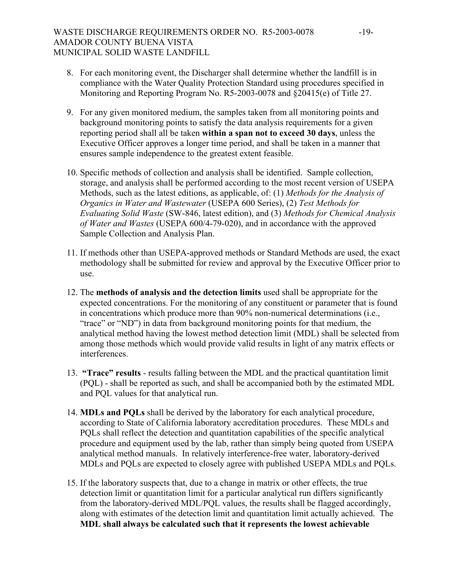- 8. For each monitoring event, the Discharger shall determine whether the landfill is in compliance with the Water Quality Protection Standard using procedures specified in Monitoring and Reporting Program No. R5-2003-0078 and §20415(e) of Title 27.
- 9. For any given monitored medium, the samples taken from all monitoring points and background monitoring points to satisfy the data analysis requirements for a given reporting period shall all be taken **within a span not to exceed 30 days**, unless the Executive Officer approves a longer time period, and shall be taken in a manner that ensures sample independence to the greatest extent feasible.
- 10. Specific methods of collection and analysis shall be identified. Sample collection, storage, and analysis shall be performed according to the most recent version of USEPA Methods, such as the latest editions, as applicable, of: (1) *Methods for the Analysis of Organics in Water and Wastewater* (USEPA 600 Series), (2) *Test Methods for Evaluating Solid Waste* (SW-846, latest edition), and (3) *Methods for Chemical Analysis of Water and Wastes* (USEPA 600/4-79-020), and in accordance with the approved Sample Collection and Analysis Plan.
- 11. If methods other than USEPA-approved methods or Standard Methods are used, the exact methodology shall be submitted for review and approval by the Executive Officer prior to use.
- 12. The **methods of analysis and the detection limits** used shall be appropriate for the expected concentrations. For the monitoring of any constituent or parameter that is found in concentrations which produce more than 90% non-numerical determinations (i.e., "trace" or "ND") in data from background monitoring points for that medium, the analytical method having the lowest method detection limit (MDL) shall be selected from among those methods which would provide valid results in light of any matrix effects or interferences.
- 13. **"Trace" results** results falling between the MDL and the practical quantitation limit (PQL) - shall be reported as such, and shall be accompanied both by the estimated MDL and PQL values for that analytical run.
- 14. **MDLs and PQLs** shall be derived by the laboratory for each analytical procedure, according to State of California laboratory accreditation procedures. These MDLs and PQLs shall reflect the detection and quantitation capabilities of the specific analytical procedure and equipment used by the lab, rather than simply being quoted from USEPA analytical method manuals. In relatively interference-free water, laboratory-derived MDLs and PQLs are expected to closely agree with published USEPA MDLs and PQLs.
- 15. If the laboratory suspects that, due to a change in matrix or other effects, the true detection limit or quantitation limit for a particular analytical run differs significantly from the laboratory-derived MDL/PQL values, the results shall be flagged accordingly, along with estimates of the detection limit and quantitation limit actually achieved. The **MDL shall always be calculated such that it represents the lowest achievable**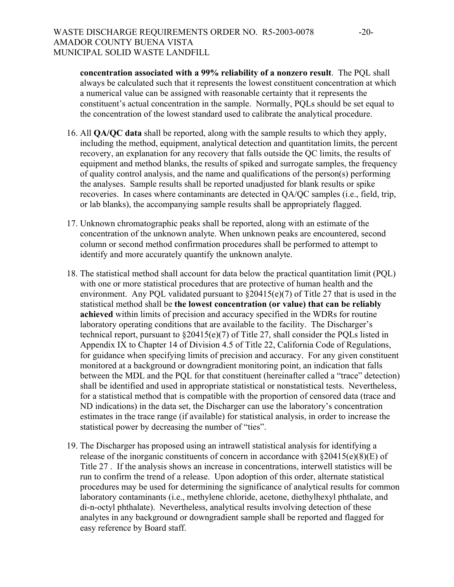**concentration associated with a 99% reliability of a nonzero result**. The PQL shall always be calculated such that it represents the lowest constituent concentration at which a numerical value can be assigned with reasonable certainty that it represents the constituent's actual concentration in the sample. Normally, PQLs should be set equal to the concentration of the lowest standard used to calibrate the analytical procedure.

- 16. All **QA/QC data** shall be reported, along with the sample results to which they apply, including the method, equipment, analytical detection and quantitation limits, the percent recovery, an explanation for any recovery that falls outside the QC limits, the results of equipment and method blanks, the results of spiked and surrogate samples, the frequency of quality control analysis, and the name and qualifications of the person(s) performing the analyses. Sample results shall be reported unadjusted for blank results or spike recoveries. In cases where contaminants are detected in QA/QC samples (i.e., field, trip, or lab blanks), the accompanying sample results shall be appropriately flagged.
- 17. Unknown chromatographic peaks shall be reported, along with an estimate of the concentration of the unknown analyte. When unknown peaks are encountered, second column or second method confirmation procedures shall be performed to attempt to identify and more accurately quantify the unknown analyte.
- 18. The statistical method shall account for data below the practical quantitation limit (PQL) with one or more statistical procedures that are protective of human health and the environment. Any PQL validated pursuant to  $\S20415(e)(7)$  of Title 27 that is used in the statistical method shall be **the lowest concentration (or value) that can be reliably achieved** within limits of precision and accuracy specified in the WDRs for routine laboratory operating conditions that are available to the facility. The Discharger's technical report, pursuant to §20415(e)(7) of Title 27, shall consider the PQLs listed in Appendix IX to Chapter 14 of Division 4.5 of Title 22, California Code of Regulations, for guidance when specifying limits of precision and accuracy. For any given constituent monitored at a background or downgradient monitoring point, an indication that falls between the MDL and the PQL for that constituent (hereinafter called a "trace" detection) shall be identified and used in appropriate statistical or nonstatistical tests. Nevertheless, for a statistical method that is compatible with the proportion of censored data (trace and ND indications) in the data set, the Discharger can use the laboratory's concentration estimates in the trace range (if available) for statistical analysis, in order to increase the statistical power by decreasing the number of "ties".
- 19. The Discharger has proposed using an intrawell statistical analysis for identifying a release of the inorganic constituents of concern in accordance with  $\S 20415(e)(8)(E)$  of Title 27 . If the analysis shows an increase in concentrations, interwell statistics will be run to confirm the trend of a release. Upon adoption of this order, alternate statistical procedures may be used for determining the significance of analytical results for common laboratory contaminants (i.e., methylene chloride, acetone, diethylhexyl phthalate, and di-n-octyl phthalate). Nevertheless, analytical results involving detection of these analytes in any background or downgradient sample shall be reported and flagged for easy reference by Board staff.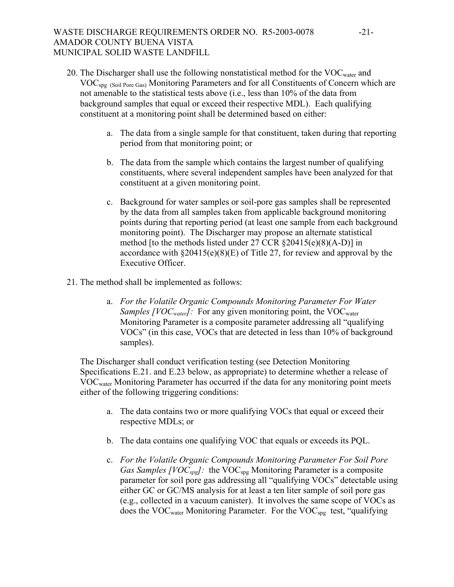# WASTE DISCHARGE REQUIREMENTS ORDER NO. R5-2003-0078 -21-AMADOR COUNTY BUENA VISTA MUNICIPAL SOLID WASTE LANDFILL

- 20. The Discharger shall use the following nonstatistical method for the VOC<sub>water</sub> and VOCspg (Soil Pore Gas) Monitoring Parameters and for all Constituents of Concern which are not amenable to the statistical tests above (i.e., less than 10% of the data from background samples that equal or exceed their respective MDL). Each qualifying constituent at a monitoring point shall be determined based on either:
	- a. The data from a single sample for that constituent, taken during that reporting period from that monitoring point; or
	- b. The data from the sample which contains the largest number of qualifying constituents, where several independent samples have been analyzed for that constituent at a given monitoring point.
	- c. Background for water samples or soil-pore gas samples shall be represented by the data from all samples taken from applicable background monitoring points during that reporting period (at least one sample from each background monitoring point). The Discharger may propose an alternate statistical method [to the methods listed under 27 CCR §20415(e)(8)(A-D)] in accordance with  $\S 20415(e)(8)(E)$  of Title 27, for review and approval by the Executive Officer.
- 21. The method shall be implemented as follows:
	- a. *For the Volatile Organic Compounds Monitoring Parameter For Water Samples [VOC<sub>water</sub>]*: For any given monitoring point, the VOC<sub>water</sub> Monitoring Parameter is a composite parameter addressing all "qualifying VOCs" (in this case, VOCs that are detected in less than 10% of background samples).

The Discharger shall conduct verification testing (see Detection Monitoring Specifications E.21. and E.23 below, as appropriate) to determine whether a release of VOCwater Monitoring Parameter has occurred if the data for any monitoring point meets either of the following triggering conditions:

- a. The data contains two or more qualifying VOCs that equal or exceed their respective MDLs; or
- b. The data contains one qualifying VOC that equals or exceeds its PQL.
- c. *For the Volatile Organic Compounds Monitoring Parameter For Soil Pore Gas Samples [VOC<sub>spg</sub>]*: the VOC<sub>spg</sub> Monitoring Parameter is a composite parameter for soil pore gas addressing all "qualifying VOCs" detectable using either GC or GC/MS analysis for at least a ten liter sample of soil pore gas (e.g., collected in a vacuum canister). It involves the same scope of VOCs as does the VOC<sub>water</sub> Monitoring Parameter. For the VOC<sub>spg</sub> test, "qualifying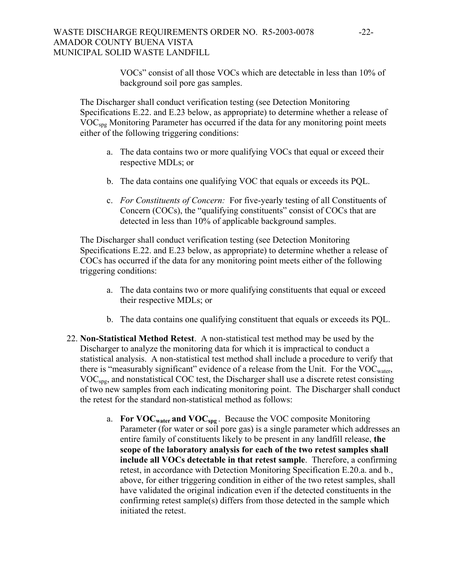VOCs" consist of all those VOCs which are detectable in less than 10% of background soil pore gas samples.

The Discharger shall conduct verification testing (see Detection Monitoring Specifications E.22. and E.23 below, as appropriate) to determine whether a release of VOCspg Monitoring Parameter has occurred if the data for any monitoring point meets either of the following triggering conditions:

- a. The data contains two or more qualifying VOCs that equal or exceed their respective MDLs; or
- b. The data contains one qualifying VOC that equals or exceeds its PQL.
- c. *For Constituents of Concern:* For five-yearly testing of all Constituents of Concern (COCs), the "qualifying constituents" consist of COCs that are detected in less than 10% of applicable background samples.

The Discharger shall conduct verification testing (see Detection Monitoring Specifications E.22. and E.23 below, as appropriate) to determine whether a release of COCs has occurred if the data for any monitoring point meets either of the following triggering conditions:

- a. The data contains two or more qualifying constituents that equal or exceed their respective MDLs; or
- b. The data contains one qualifying constituent that equals or exceeds its PQL.
- 22. **Non-Statistical Method Retest**. A non-statistical test method may be used by the Discharger to analyze the monitoring data for which it is impractical to conduct a statistical analysis. A non-statistical test method shall include a procedure to verify that there is "measurably significant" evidence of a release from the Unit. For the VOC<sub>water</sub>, VOCspg, and nonstatistical COC test, the Discharger shall use a discrete retest consisting of two new samples from each indicating monitoring point. The Discharger shall conduct the retest for the standard non-statistical method as follows:
	- a. **For VOCwater and VOCspg** . Because the VOC composite Monitoring Parameter (for water or soil pore gas) is a single parameter which addresses an entire family of constituents likely to be present in any landfill release, **the scope of the laboratory analysis for each of the two retest samples shall include all VOCs detectable in that retest sample**. Therefore, a confirming retest, in accordance with Detection Monitoring Specification E.20.a. and b., above, for either triggering condition in either of the two retest samples, shall have validated the original indication even if the detected constituents in the confirming retest sample(s) differs from those detected in the sample which initiated the retest.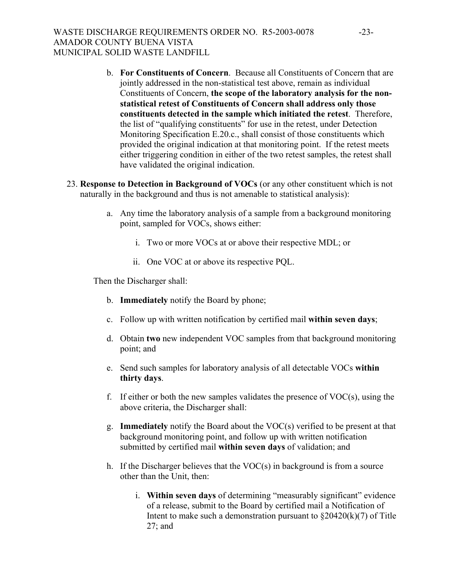- b. **For Constituents of Concern**. Because all Constituents of Concern that are jointly addressed in the non-statistical test above, remain as individual Constituents of Concern, **the scope of the laboratory analysis for the nonstatistical retest of Constituents of Concern shall address only those constituents detected in the sample which initiated the retest**. Therefore, the list of "qualifying constituents" for use in the retest, under Detection Monitoring Specification E.20.c., shall consist of those constituents which provided the original indication at that monitoring point. If the retest meets either triggering condition in either of the two retest samples, the retest shall have validated the original indication.
- 23. **Response to Detection in Background of VOCs** (or any other constituent which is not naturally in the background and thus is not amenable to statistical analysis):
	- a. Any time the laboratory analysis of a sample from a background monitoring point, sampled for VOCs, shows either:
		- i. Two or more VOCs at or above their respective MDL; or
		- ii. One VOC at or above its respective PQL.

Then the Discharger shall:

- b. **Immediately** notify the Board by phone;
- c. Follow up with written notification by certified mail **within seven days**;
- d. Obtain **two** new independent VOC samples from that background monitoring point; and
- e. Send such samples for laboratory analysis of all detectable VOCs **within thirty days**.
- f. If either or both the new samples validates the presence of VOC(s), using the above criteria, the Discharger shall:
- g. **Immediately** notify the Board about the VOC(s) verified to be present at that background monitoring point, and follow up with written notification submitted by certified mail **within seven days** of validation; and
- h. If the Discharger believes that the VOC(s) in background is from a source other than the Unit, then:
	- i. **Within seven days** of determining "measurably significant" evidence of a release, submit to the Board by certified mail a Notification of Intent to make such a demonstration pursuant to  $\frac{20420(k)}{7}$  of Title 27; and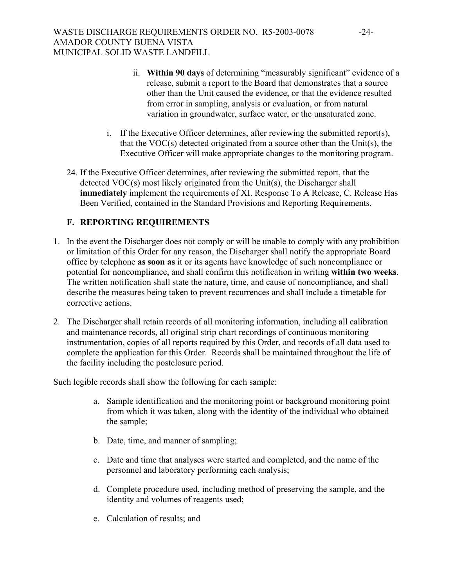- ii. **Within 90 days** of determining "measurably significant" evidence of a release, submit a report to the Board that demonstrates that a source other than the Unit caused the evidence, or that the evidence resulted from error in sampling, analysis or evaluation, or from natural variation in groundwater, surface water, or the unsaturated zone.
- i. If the Executive Officer determines, after reviewing the submitted report(s), that the VOC(s) detected originated from a source other than the Unit(s), the Executive Officer will make appropriate changes to the monitoring program.
- 24. If the Executive Officer determines, after reviewing the submitted report, that the detected VOC(s) most likely originated from the Unit(s), the Discharger shall **immediately** implement the requirements of XI. Response To A Release, C. Release Has Been Verified, contained in the Standard Provisions and Reporting Requirements.

# **F. REPORTING REQUIREMENTS**

- 1. In the event the Discharger does not comply or will be unable to comply with any prohibition or limitation of this Order for any reason, the Discharger shall notify the appropriate Board office by telephone **as soon as** it or its agents have knowledge of such noncompliance or potential for noncompliance, and shall confirm this notification in writing **within two weeks**. The written notification shall state the nature, time, and cause of noncompliance, and shall describe the measures being taken to prevent recurrences and shall include a timetable for corrective actions.
- 2. The Discharger shall retain records of all monitoring information, including all calibration and maintenance records, all original strip chart recordings of continuous monitoring instrumentation, copies of all reports required by this Order, and records of all data used to complete the application for this Order. Records shall be maintained throughout the life of the facility including the postclosure period.

Such legible records shall show the following for each sample:

- a. Sample identification and the monitoring point or background monitoring point from which it was taken, along with the identity of the individual who obtained the sample;
- b. Date, time, and manner of sampling;
- c. Date and time that analyses were started and completed, and the name of the personnel and laboratory performing each analysis;
- d. Complete procedure used, including method of preserving the sample, and the identity and volumes of reagents used;
- e. Calculation of results; and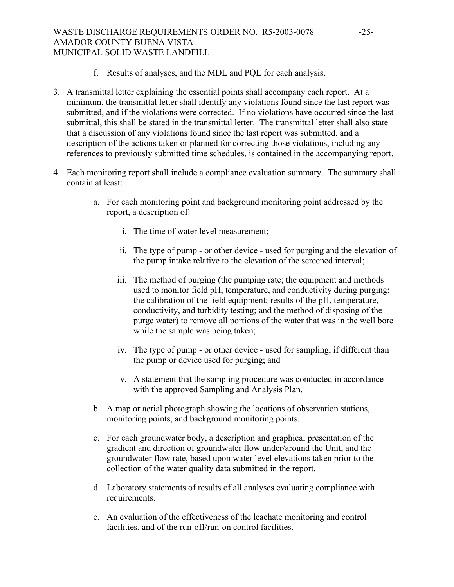# WASTE DISCHARGE REQUIREMENTS ORDER NO. R5-2003-0078 -25-AMADOR COUNTY BUENA VISTA MUNICIPAL SOLID WASTE LANDFILL

- f. Results of analyses, and the MDL and PQL for each analysis.
- 3. A transmittal letter explaining the essential points shall accompany each report. At a minimum, the transmittal letter shall identify any violations found since the last report was submitted, and if the violations were corrected. If no violations have occurred since the last submittal, this shall be stated in the transmittal letter. The transmittal letter shall also state that a discussion of any violations found since the last report was submitted, and a description of the actions taken or planned for correcting those violations, including any references to previously submitted time schedules, is contained in the accompanying report.
- 4. Each monitoring report shall include a compliance evaluation summary. The summary shall contain at least:
	- a. For each monitoring point and background monitoring point addressed by the report, a description of:
		- i. The time of water level measurement;
		- ii. The type of pump or other device used for purging and the elevation of the pump intake relative to the elevation of the screened interval;
		- iii. The method of purging (the pumping rate; the equipment and methods used to monitor field pH, temperature, and conductivity during purging; the calibration of the field equipment; results of the pH, temperature, conductivity, and turbidity testing; and the method of disposing of the purge water) to remove all portions of the water that was in the well bore while the sample was being taken;
		- iv. The type of pump or other device used for sampling, if different than the pump or device used for purging; and
		- v. A statement that the sampling procedure was conducted in accordance with the approved Sampling and Analysis Plan.
	- b. A map or aerial photograph showing the locations of observation stations, monitoring points, and background monitoring points.
	- c. For each groundwater body, a description and graphical presentation of the gradient and direction of groundwater flow under/around the Unit, and the groundwater flow rate, based upon water level elevations taken prior to the collection of the water quality data submitted in the report.
	- d. Laboratory statements of results of all analyses evaluating compliance with requirements.
	- e. An evaluation of the effectiveness of the leachate monitoring and control facilities, and of the run-off/run-on control facilities.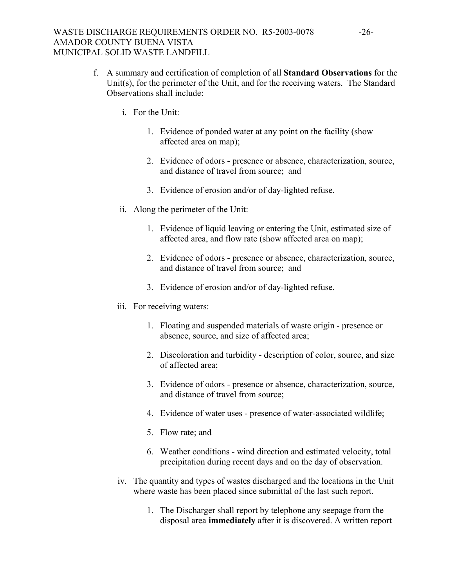- f. A summary and certification of completion of all **Standard Observations** for the Unit(s), for the perimeter of the Unit, and for the receiving waters. The Standard Observations shall include:
	- i. For the Unit:
		- 1. Evidence of ponded water at any point on the facility (show affected area on map);
		- 2. Evidence of odors presence or absence, characterization, source, and distance of travel from source; and
		- 3. Evidence of erosion and/or of day-lighted refuse.
	- ii. Along the perimeter of the Unit:
		- 1. Evidence of liquid leaving or entering the Unit, estimated size of affected area, and flow rate (show affected area on map);
		- 2. Evidence of odors presence or absence, characterization, source, and distance of travel from source; and
		- 3. Evidence of erosion and/or of day-lighted refuse.
	- iii. For receiving waters:
		- 1. Floating and suspended materials of waste origin presence or absence, source, and size of affected area;
		- 2. Discoloration and turbidity description of color, source, and size of affected area;
		- 3. Evidence of odors presence or absence, characterization, source, and distance of travel from source;
		- 4. Evidence of water uses presence of water-associated wildlife;
		- 5. Flow rate; and
		- 6. Weather conditions wind direction and estimated velocity, total precipitation during recent days and on the day of observation.
	- iv. The quantity and types of wastes discharged and the locations in the Unit where waste has been placed since submittal of the last such report.
		- 1. The Discharger shall report by telephone any seepage from the disposal area **immediately** after it is discovered. A written report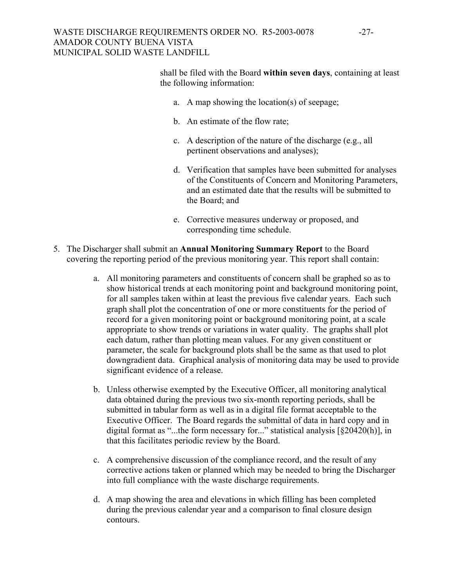## WASTE DISCHARGE REQUIREMENTS ORDER NO. R5-2003-0078 -27-AMADOR COUNTY BUENA VISTA MUNICIPAL SOLID WASTE LANDFILL

shall be filed with the Board **within seven days**, containing at least the following information:

- a. A map showing the location(s) of seepage;
- b. An estimate of the flow rate;
- c. A description of the nature of the discharge (e.g., all pertinent observations and analyses);
- d. Verification that samples have been submitted for analyses of the Constituents of Concern and Monitoring Parameters, and an estimated date that the results will be submitted to the Board; and
- e. Corrective measures underway or proposed, and corresponding time schedule.
- 5. The Discharger shall submit an **Annual Monitoring Summary Report** to the Board covering the reporting period of the previous monitoring year. This report shall contain:
	- a. All monitoring parameters and constituents of concern shall be graphed so as to show historical trends at each monitoring point and background monitoring point, for all samples taken within at least the previous five calendar years. Each such graph shall plot the concentration of one or more constituents for the period of record for a given monitoring point or background monitoring point, at a scale appropriate to show trends or variations in water quality. The graphs shall plot each datum, rather than plotting mean values. For any given constituent or parameter, the scale for background plots shall be the same as that used to plot downgradient data. Graphical analysis of monitoring data may be used to provide significant evidence of a release.
	- b. Unless otherwise exempted by the Executive Officer, all monitoring analytical data obtained during the previous two six-month reporting periods, shall be submitted in tabular form as well as in a digital file format acceptable to the Executive Officer. The Board regards the submittal of data in hard copy and in digital format as "...the form necessary for..." statistical analysis  $\lceil \frac{8}{9} \cdot 204 \cdot 20(h) \rceil$ , in that this facilitates periodic review by the Board.
	- c. A comprehensive discussion of the compliance record, and the result of any corrective actions taken or planned which may be needed to bring the Discharger into full compliance with the waste discharge requirements.
	- d. A map showing the area and elevations in which filling has been completed during the previous calendar year and a comparison to final closure design contours.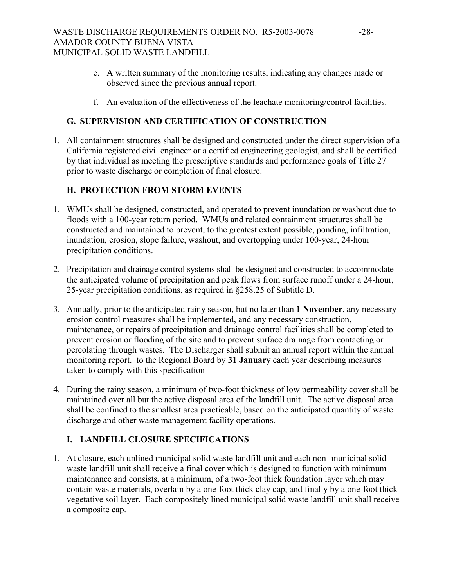- e. A written summary of the monitoring results, indicating any changes made or observed since the previous annual report.
- f. An evaluation of the effectiveness of the leachate monitoring/control facilities.

# **G. SUPERVISION AND CERTIFICATION OF CONSTRUCTION**

1. All containment structures shall be designed and constructed under the direct supervision of a California registered civil engineer or a certified engineering geologist, and shall be certified by that individual as meeting the prescriptive standards and performance goals of Title 27 prior to waste discharge or completion of final closure.

# **H. PROTECTION FROM STORM EVENTS**

- 1. WMUs shall be designed, constructed, and operated to prevent inundation or washout due to floods with a 100-year return period. WMUs and related containment structures shall be constructed and maintained to prevent, to the greatest extent possible, ponding, infiltration, inundation, erosion, slope failure, washout, and overtopping under 100-year, 24-hour precipitation conditions.
- 2. Precipitation and drainage control systems shall be designed and constructed to accommodate the anticipated volume of precipitation and peak flows from surface runoff under a 24-hour, 25-year precipitation conditions, as required in §258.25 of Subtitle D.
- 3. Annually, prior to the anticipated rainy season, but no later than **1 November**, any necessary erosion control measures shall be implemented, and any necessary construction, maintenance, or repairs of precipitation and drainage control facilities shall be completed to prevent erosion or flooding of the site and to prevent surface drainage from contacting or percolating through wastes. The Discharger shall submit an annual report within the annual monitoring report. to the Regional Board by **31 January** each year describing measures taken to comply with this specification
- 4. During the rainy season, a minimum of two-foot thickness of low permeability cover shall be maintained over all but the active disposal area of the landfill unit. The active disposal area shall be confined to the smallest area practicable, based on the anticipated quantity of waste discharge and other waste management facility operations.

# **I. LANDFILL CLOSURE SPECIFICATIONS**

1. At closure, each unlined municipal solid waste landfill unit and each non- municipal solid waste landfill unit shall receive a final cover which is designed to function with minimum maintenance and consists, at a minimum, of a two-foot thick foundation layer which may contain waste materials, overlain by a one-foot thick clay cap, and finally by a one-foot thick vegetative soil layer. Each compositely lined municipal solid waste landfill unit shall receive a composite cap.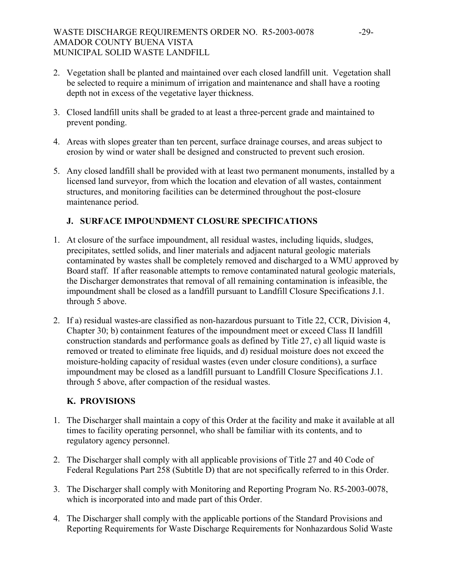- 2. Vegetation shall be planted and maintained over each closed landfill unit. Vegetation shall be selected to require a minimum of irrigation and maintenance and shall have a rooting depth not in excess of the vegetative layer thickness.
- 3. Closed landfill units shall be graded to at least a three-percent grade and maintained to prevent ponding.
- 4. Areas with slopes greater than ten percent, surface drainage courses, and areas subject to erosion by wind or water shall be designed and constructed to prevent such erosion.
- 5. Any closed landfill shall be provided with at least two permanent monuments, installed by a licensed land surveyor, from which the location and elevation of all wastes, containment structures, and monitoring facilities can be determined throughout the post-closure maintenance period.

# **J. SURFACE IMPOUNDMENT CLOSURE SPECIFICATIONS**

- 1. At closure of the surface impoundment, all residual wastes, including liquids, sludges, precipitates, settled solids, and liner materials and adjacent natural geologic materials contaminated by wastes shall be completely removed and discharged to a WMU approved by Board staff. If after reasonable attempts to remove contaminated natural geologic materials, the Discharger demonstrates that removal of all remaining contamination is infeasible, the impoundment shall be closed as a landfill pursuant to Landfill Closure Specifications J.1. through 5 above.
- 2. If a) residual wastes-are classified as non-hazardous pursuant to Title 22, CCR, Division 4, Chapter 30; b) containment features of the impoundment meet or exceed Class II landfill construction standards and performance goals as defined by Title 27, c) all liquid waste is removed or treated to eliminate free liquids, and d) residual moisture does not exceed the moisture-holding capacity of residual wastes (even under closure conditions), a surface impoundment may be closed as a landfill pursuant to Landfill Closure Specifications J.1. through 5 above, after compaction of the residual wastes.

# **K. PROVISIONS**

- 1. The Discharger shall maintain a copy of this Order at the facility and make it available at all times to facility operating personnel, who shall be familiar with its contents, and to regulatory agency personnel.
- 2. The Discharger shall comply with all applicable provisions of Title 27 and 40 Code of Federal Regulations Part 258 (Subtitle D) that are not specifically referred to in this Order.
- 3. The Discharger shall comply with Monitoring and Reporting Program No. R5-2003-0078, which is incorporated into and made part of this Order.
- 4. The Discharger shall comply with the applicable portions of the Standard Provisions and Reporting Requirements for Waste Discharge Requirements for Nonhazardous Solid Waste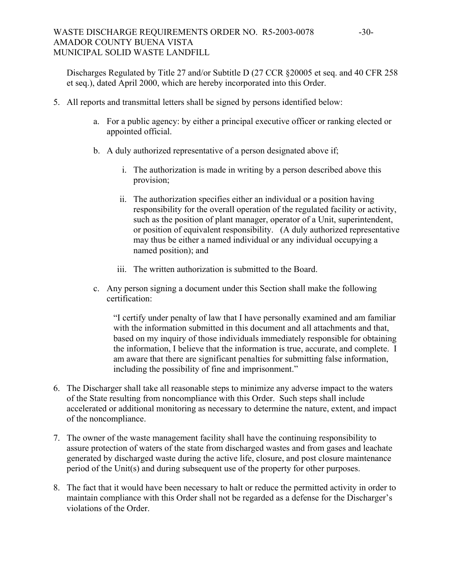## WASTE DISCHARGE REQUIREMENTS ORDER NO. R5-2003-0078 -30-AMADOR COUNTY BUENA VISTA MUNICIPAL SOLID WASTE LANDFILL

Discharges Regulated by Title 27 and/or Subtitle D (27 CCR §20005 et seq. and 40 CFR 258 et seq.), dated April 2000, which are hereby incorporated into this Order.

- 5. All reports and transmittal letters shall be signed by persons identified below:
	- a. For a public agency: by either a principal executive officer or ranking elected or appointed official.
	- b. A duly authorized representative of a person designated above if;
		- i. The authorization is made in writing by a person described above this provision;
		- ii. The authorization specifies either an individual or a position having responsibility for the overall operation of the regulated facility or activity, such as the position of plant manager, operator of a Unit, superintendent, or position of equivalent responsibility. (A duly authorized representative may thus be either a named individual or any individual occupying a named position); and
		- iii. The written authorization is submitted to the Board.
	- c. Any person signing a document under this Section shall make the following certification:

"I certify under penalty of law that I have personally examined and am familiar with the information submitted in this document and all attachments and that, based on my inquiry of those individuals immediately responsible for obtaining the information, I believe that the information is true, accurate, and complete. I am aware that there are significant penalties for submitting false information, including the possibility of fine and imprisonment."

- 6. The Discharger shall take all reasonable steps to minimize any adverse impact to the waters of the State resulting from noncompliance with this Order. Such steps shall include accelerated or additional monitoring as necessary to determine the nature, extent, and impact of the noncompliance.
- 7. The owner of the waste management facility shall have the continuing responsibility to assure protection of waters of the state from discharged wastes and from gases and leachate generated by discharged waste during the active life, closure, and post closure maintenance period of the Unit(s) and during subsequent use of the property for other purposes.
- 8. The fact that it would have been necessary to halt or reduce the permitted activity in order to maintain compliance with this Order shall not be regarded as a defense for the Discharger's violations of the Order.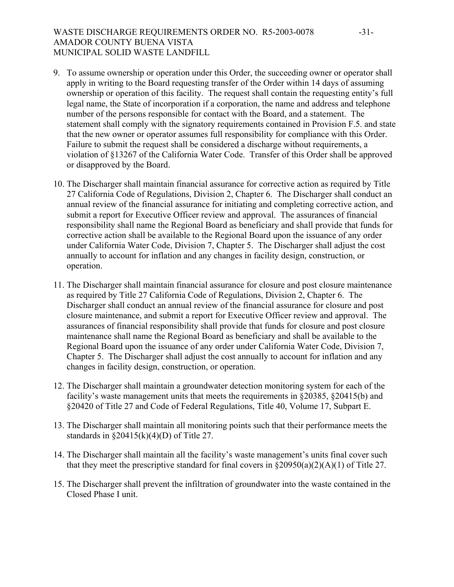# WASTE DISCHARGE REQUIREMENTS ORDER NO. R5-2003-0078 -31-AMADOR COUNTY BUENA VISTA MUNICIPAL SOLID WASTE LANDFILL

- 9. To assume ownership or operation under this Order, the succeeding owner or operator shall apply in writing to the Board requesting transfer of the Order within 14 days of assuming ownership or operation of this facility. The request shall contain the requesting entity's full legal name, the State of incorporation if a corporation, the name and address and telephone number of the persons responsible for contact with the Board, and a statement. The statement shall comply with the signatory requirements contained in Provision F.5. and state that the new owner or operator assumes full responsibility for compliance with this Order. Failure to submit the request shall be considered a discharge without requirements, a violation of §13267 of the California Water Code. Transfer of this Order shall be approved or disapproved by the Board.
- 10. The Discharger shall maintain financial assurance for corrective action as required by Title 27 California Code of Regulations, Division 2, Chapter 6. The Discharger shall conduct an annual review of the financial assurance for initiating and completing corrective action, and submit a report for Executive Officer review and approval. The assurances of financial responsibility shall name the Regional Board as beneficiary and shall provide that funds for corrective action shall be available to the Regional Board upon the issuance of any order under California Water Code, Division 7, Chapter 5. The Discharger shall adjust the cost annually to account for inflation and any changes in facility design, construction, or operation.
- 11. The Discharger shall maintain financial assurance for closure and post closure maintenance as required by Title 27 California Code of Regulations, Division 2, Chapter 6. The Discharger shall conduct an annual review of the financial assurance for closure and post closure maintenance, and submit a report for Executive Officer review and approval. The assurances of financial responsibility shall provide that funds for closure and post closure maintenance shall name the Regional Board as beneficiary and shall be available to the Regional Board upon the issuance of any order under California Water Code, Division 7, Chapter 5. The Discharger shall adjust the cost annually to account for inflation and any changes in facility design, construction, or operation.
- 12. The Discharger shall maintain a groundwater detection monitoring system for each of the facility's waste management units that meets the requirements in §20385, §20415(b) and §20420 of Title 27 and Code of Federal Regulations, Title 40, Volume 17, Subpart E.
- 13. The Discharger shall maintain all monitoring points such that their performance meets the standards in  $\S 20415(k)(4)(D)$  of Title 27.
- 14. The Discharger shall maintain all the facility's waste management's units final cover such that they meet the prescriptive standard for final covers in  $\S20950(a)(2)(A)(1)$  of Title 27.
- 15. The Discharger shall prevent the infiltration of groundwater into the waste contained in the Closed Phase I unit.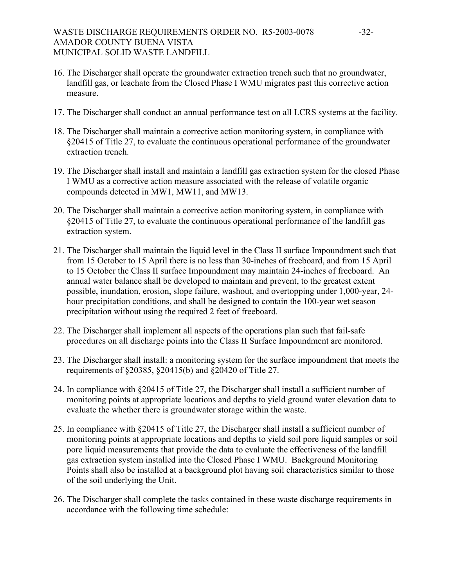# WASTE DISCHARGE REQUIREMENTS ORDER NO. R5-2003-0078 -32-AMADOR COUNTY BUENA VISTA MUNICIPAL SOLID WASTE LANDFILL

- 16. The Discharger shall operate the groundwater extraction trench such that no groundwater, landfill gas, or leachate from the Closed Phase I WMU migrates past this corrective action measure.
- 17. The Discharger shall conduct an annual performance test on all LCRS systems at the facility.
- 18. The Discharger shall maintain a corrective action monitoring system, in compliance with §20415 of Title 27, to evaluate the continuous operational performance of the groundwater extraction trench.
- 19. The Discharger shall install and maintain a landfill gas extraction system for the closed Phase I WMU as a corrective action measure associated with the release of volatile organic compounds detected in MW1, MW11, and MW13.
- 20. The Discharger shall maintain a corrective action monitoring system, in compliance with §20415 of Title 27, to evaluate the continuous operational performance of the landfill gas extraction system.
- 21. The Discharger shall maintain the liquid level in the Class II surface Impoundment such that from 15 October to 15 April there is no less than 30-inches of freeboard, and from 15 April to 15 October the Class II surface Impoundment may maintain 24-inches of freeboard. An annual water balance shall be developed to maintain and prevent, to the greatest extent possible, inundation, erosion, slope failure, washout, and overtopping under 1,000-year, 24 hour precipitation conditions, and shall be designed to contain the 100-year wet season precipitation without using the required 2 feet of freeboard.
- 22. The Discharger shall implement all aspects of the operations plan such that fail-safe procedures on all discharge points into the Class II Surface Impoundment are monitored.
- 23. The Discharger shall install: a monitoring system for the surface impoundment that meets the requirements of §20385, §20415(b) and §20420 of Title 27.
- 24. In compliance with §20415 of Title 27, the Discharger shall install a sufficient number of monitoring points at appropriate locations and depths to yield ground water elevation data to evaluate the whether there is groundwater storage within the waste.
- 25. In compliance with §20415 of Title 27, the Discharger shall install a sufficient number of monitoring points at appropriate locations and depths to yield soil pore liquid samples or soil pore liquid measurements that provide the data to evaluate the effectiveness of the landfill gas extraction system installed into the Closed Phase I WMU. Background Monitoring Points shall also be installed at a background plot having soil characteristics similar to those of the soil underlying the Unit.
- 26. The Discharger shall complete the tasks contained in these waste discharge requirements in accordance with the following time schedule: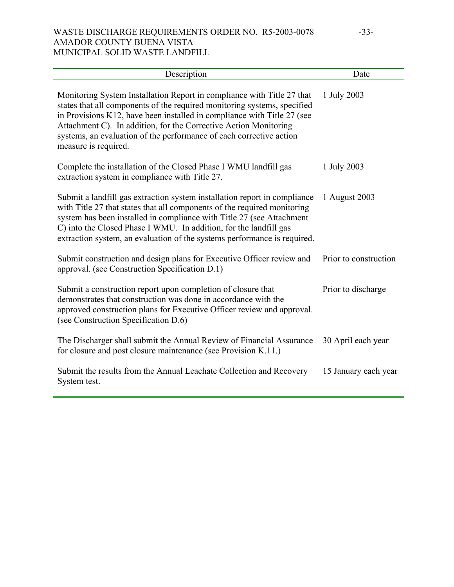## WASTE DISCHARGE REQUIREMENTS ORDER NO. R5-2003-0078 -33-AMADOR COUNTY BUENA VISTA MUNICIPAL SOLID WASTE LANDFILL

| Description                                                                                                                                                                                                                                                                                                                                                                                      | Date                  |
|--------------------------------------------------------------------------------------------------------------------------------------------------------------------------------------------------------------------------------------------------------------------------------------------------------------------------------------------------------------------------------------------------|-----------------------|
| Monitoring System Installation Report in compliance with Title 27 that<br>states that all components of the required monitoring systems, specified<br>in Provisions K12, have been installed in compliance with Title 27 (see<br>Attachment C). In addition, for the Corrective Action Monitoring<br>systems, an evaluation of the performance of each corrective action<br>measure is required. | 1 July 2003           |
| Complete the installation of the Closed Phase I WMU landfill gas<br>extraction system in compliance with Title 27.                                                                                                                                                                                                                                                                               | 1 July 2003           |
| Submit a landfill gas extraction system installation report in compliance<br>with Title 27 that states that all components of the required monitoring<br>system has been installed in compliance with Title 27 (see Attachment<br>C) into the Closed Phase I WMU. In addition, for the landfill gas<br>extraction system, an evaluation of the systems performance is required.                  | 1 August 2003         |
| Submit construction and design plans for Executive Officer review and<br>approval. (see Construction Specification D.1)                                                                                                                                                                                                                                                                          | Prior to construction |
| Submit a construction report upon completion of closure that<br>demonstrates that construction was done in accordance with the<br>approved construction plans for Executive Officer review and approval.<br>(see Construction Specification D.6)                                                                                                                                                 | Prior to discharge    |
| The Discharger shall submit the Annual Review of Financial Assurance<br>for closure and post closure maintenance (see Provision K.11.)                                                                                                                                                                                                                                                           | 30 April each year    |
| Submit the results from the Annual Leachate Collection and Recovery<br>System test.                                                                                                                                                                                                                                                                                                              | 15 January each year  |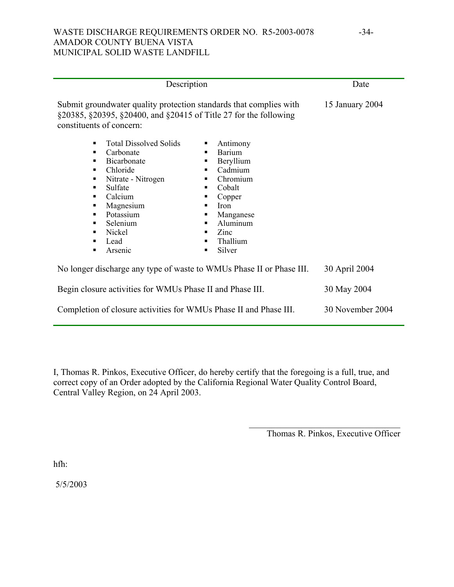## WASTE DISCHARGE REQUIREMENTS ORDER NO. R5-2003-0078 -34-AMADOR COUNTY BUENA VISTA MUNICIPAL SOLID WASTE LANDFILL

| Description                                                                                                                                                                                                                                                                       |                                                                                                                                                                                                                | Date             |
|-----------------------------------------------------------------------------------------------------------------------------------------------------------------------------------------------------------------------------------------------------------------------------------|----------------------------------------------------------------------------------------------------------------------------------------------------------------------------------------------------------------|------------------|
| Submit groundwater quality protection standards that complies with<br>§20385, §20395, §20400, and §20415 of Title 27 for the following<br>constituents of concern:                                                                                                                |                                                                                                                                                                                                                | 15 January 2004  |
| <b>Total Dissolved Solids</b><br>$\blacksquare$<br>Carbonate<br>٠<br><b>Bicarbonate</b><br>٠<br>Chloride<br>٠<br>Nitrate - Nitrogen<br>٠<br>Sulfate<br>٠<br>Calcium<br>٠<br>Magnesium<br>п<br>Potassium<br>п<br>Selenium<br>٠<br>Nickel<br>$\blacksquare$<br>Lead<br>٠<br>Arsenic | Antimony<br>٠<br><b>Barium</b><br>٠<br>Beryllium<br>٠<br>Cadmium<br>٠<br>Chromium<br>٠<br>Cobalt<br>٠<br>Copper<br>п<br><b>Iron</b><br>Manganese<br>Aluminum<br>٠<br>Zinc<br>٠<br>Thallium<br>٠<br>Silver<br>٠ |                  |
| No longer discharge any type of waste to WMUs Phase II or Phase III.                                                                                                                                                                                                              |                                                                                                                                                                                                                | 30 April 2004    |
| Begin closure activities for WMUs Phase II and Phase III.                                                                                                                                                                                                                         |                                                                                                                                                                                                                | 30 May 2004      |
| Completion of closure activities for WMUs Phase II and Phase III.                                                                                                                                                                                                                 |                                                                                                                                                                                                                | 30 November 2004 |

I, Thomas R. Pinkos, Executive Officer, do hereby certify that the foregoing is a full, true, and correct copy of an Order adopted by the California Regional Water Quality Control Board, Central Valley Region, on 24 April 2003.

Thomas R. Pinkos, Executive Officer

 $\mathcal{L}_\text{max}$  , where  $\mathcal{L}_\text{max}$  and  $\mathcal{L}_\text{max}$  and  $\mathcal{L}_\text{max}$ 

hfh:

5/5/2003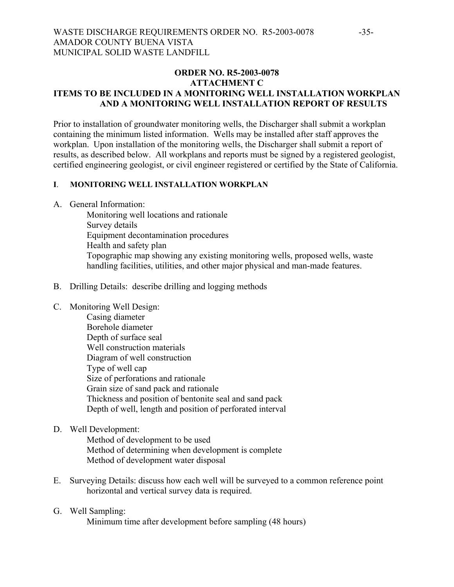## **ORDER NO. R5-2003-0078 ATTACHMENT C ITEMS TO BE INCLUDED IN A MONITORING WELL INSTALLATION WORKPLAN AND A MONITORING WELL INSTALLATION REPORT OF RESULTS**

Prior to installation of groundwater monitoring wells, the Discharger shall submit a workplan containing the minimum listed information. Wells may be installed after staff approves the workplan. Upon installation of the monitoring wells, the Discharger shall submit a report of results, as described below. All workplans and reports must be signed by a registered geologist, certified engineering geologist, or civil engineer registered or certified by the State of California.

### **I**. **MONITORING WELL INSTALLATION WORKPLAN**

A. General Information:

 Monitoring well locations and rationale Survey details Equipment decontamination procedures Health and safety plan Topographic map showing any existing monitoring wells, proposed wells, waste handling facilities, utilities, and other major physical and man-made features.

- B. Drilling Details: describe drilling and logging methods
- C. Monitoring Well Design:
	- Casing diameter Borehole diameter Depth of surface seal Well construction materials Diagram of well construction Type of well cap Size of perforations and rationale Grain size of sand pack and rationale Thickness and position of bentonite seal and sand pack Depth of well, length and position of perforated interval
- D. Well Development:

 Method of development to be used Method of determining when development is complete Method of development water disposal

- E. Surveying Details: discuss how each well will be surveyed to a common reference point horizontal and vertical survey data is required.
- G. Well Sampling: Minimum time after development before sampling (48 hours)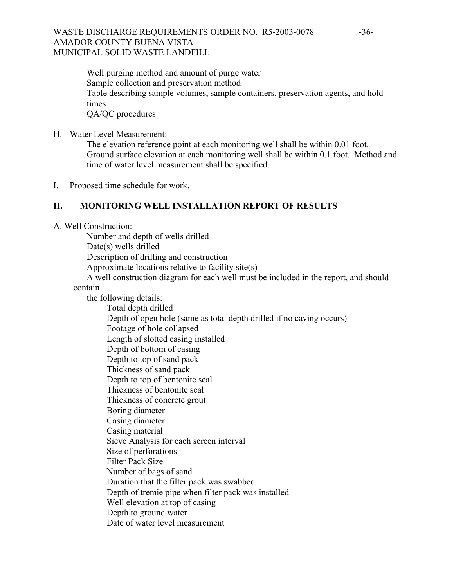## WASTE DISCHARGE REQUIREMENTS ORDER NO. R5-2003-0078 -36-AMADOR COUNTY BUENA VISTA MUNICIPAL SOLID WASTE LANDFILL

 Well purging method and amount of purge water Sample collection and preservation method Table describing sample volumes, sample containers, preservation agents, and hold times QA/QC procedures

H. Water Level Measurement:

 The elevation reference point at each monitoring well shall be within 0.01 foot. Ground surface elevation at each monitoring well shall be within 0.1 foot. Method and time of water level measurement shall be specified.

I. Proposed time schedule for work.

### **II. MONITORING WELL INSTALLATION REPORT OF RESULTS**

A. Well Construction:

Number and depth of wells drilled

Date(s) wells drilled

Description of drilling and construction

Approximate locations relative to facility site(s)

 A well construction diagram for each well must be included in the report, and should contain

 the following details: Total depth drilled Depth of open hole (same as total depth drilled if no caving occurs) Footage of hole collapsed Length of slotted casing installed Depth of bottom of casing Depth to top of sand pack Thickness of sand pack Depth to top of bentonite seal Thickness of bentonite seal Thickness of concrete grout Boring diameter Casing diameter Casing material Sieve Analysis for each screen interval Size of perforations Filter Pack Size Number of bags of sand Duration that the filter pack was swabbed Depth of tremie pipe when filter pack was installed Well elevation at top of casing Depth to ground water Date of water level measurement